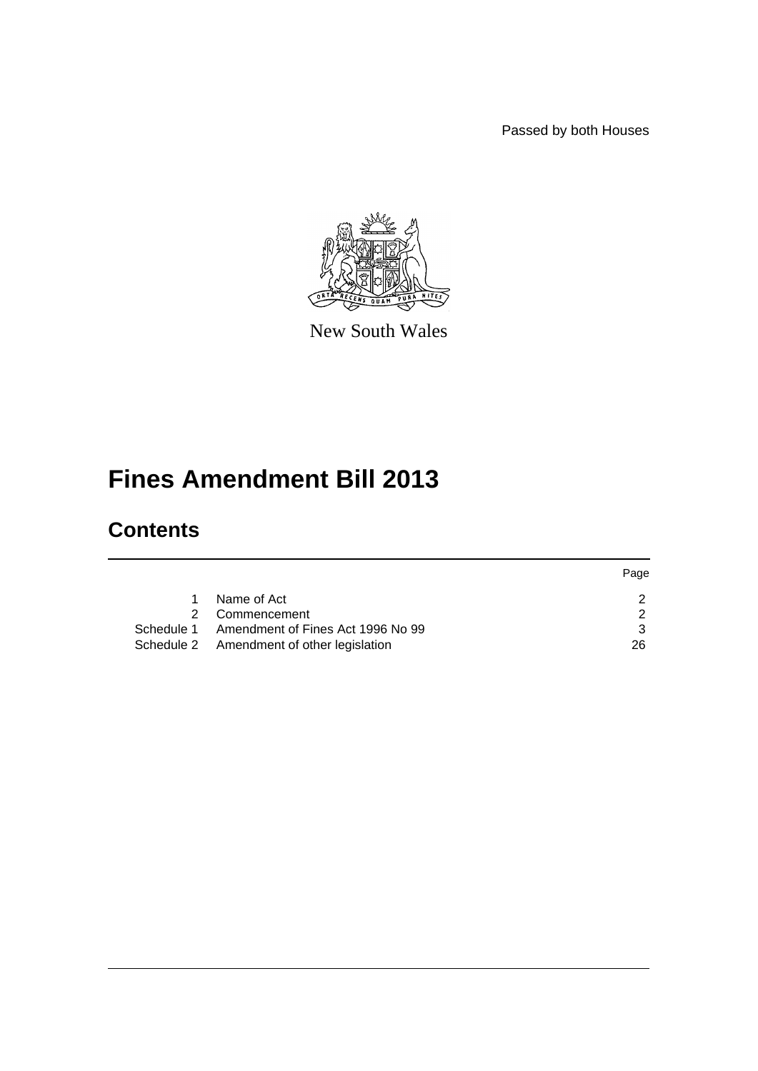Passed by both Houses



New South Wales

# **Fines Amendment Bill 2013**

# **Contents**

|                                              | Page |
|----------------------------------------------|------|
| Name of Act                                  |      |
| Commencement                                 | ົ    |
| Schedule 1 Amendment of Fines Act 1996 No 99 |      |
| Schedule 2 Amendment of other legislation    | 26   |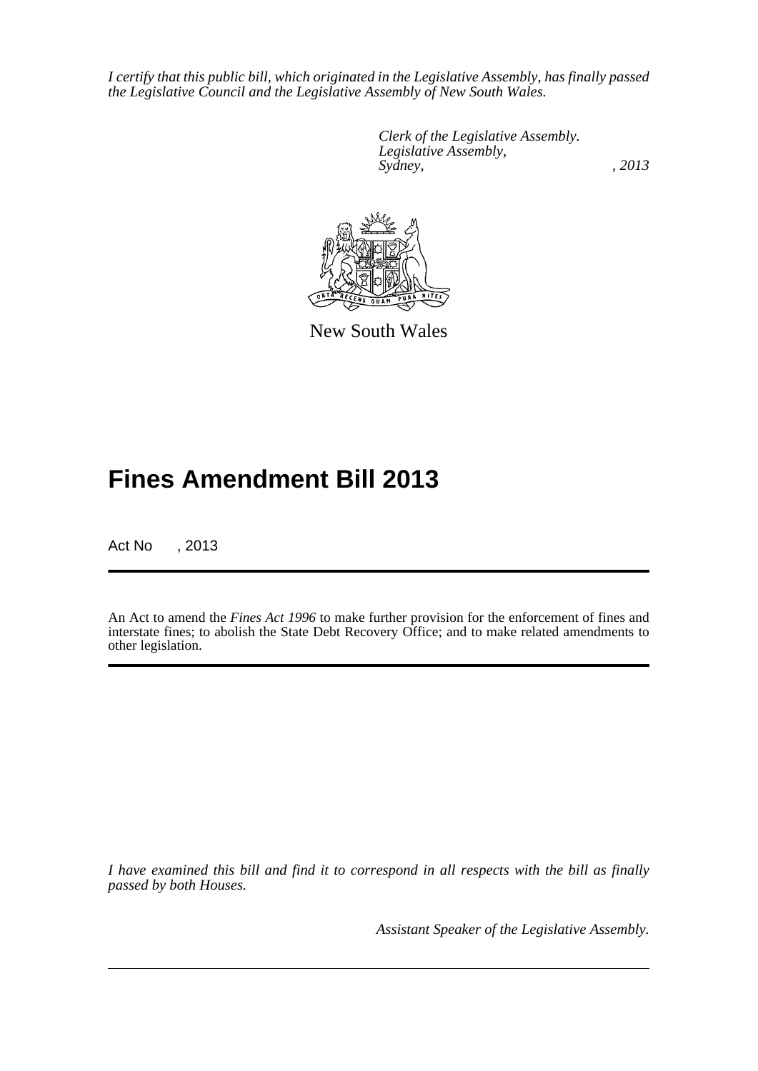*I certify that this public bill, which originated in the Legislative Assembly, has finally passed the Legislative Council and the Legislative Assembly of New South Wales.*

> *Clerk of the Legislative Assembly. Legislative Assembly, Sydney, , 2013*



New South Wales

# **Fines Amendment Bill 2013**

Act No , 2013

An Act to amend the *Fines Act 1996* to make further provision for the enforcement of fines and interstate fines; to abolish the State Debt Recovery Office; and to make related amendments to other legislation.

*I have examined this bill and find it to correspond in all respects with the bill as finally passed by both Houses.*

*Assistant Speaker of the Legislative Assembly.*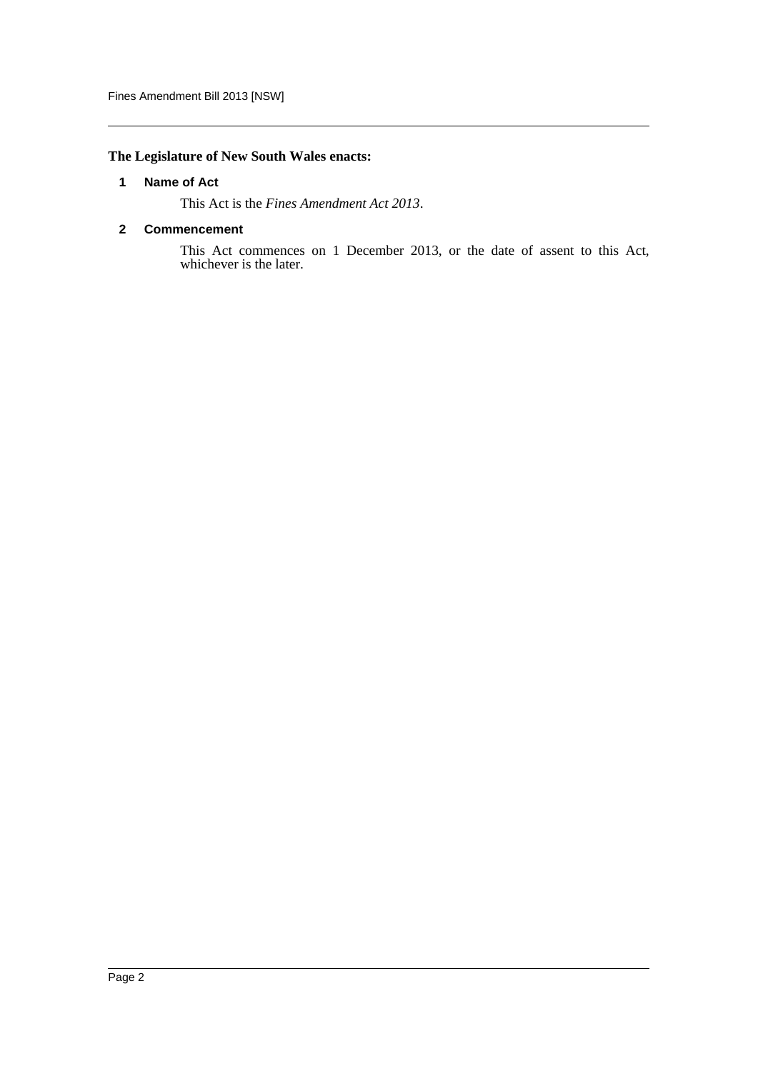## <span id="page-2-0"></span>**The Legislature of New South Wales enacts:**

### **1 Name of Act**

This Act is the *Fines Amendment Act 2013*.

### <span id="page-2-1"></span>**2 Commencement**

This Act commences on 1 December 2013, or the date of assent to this Act, whichever is the later.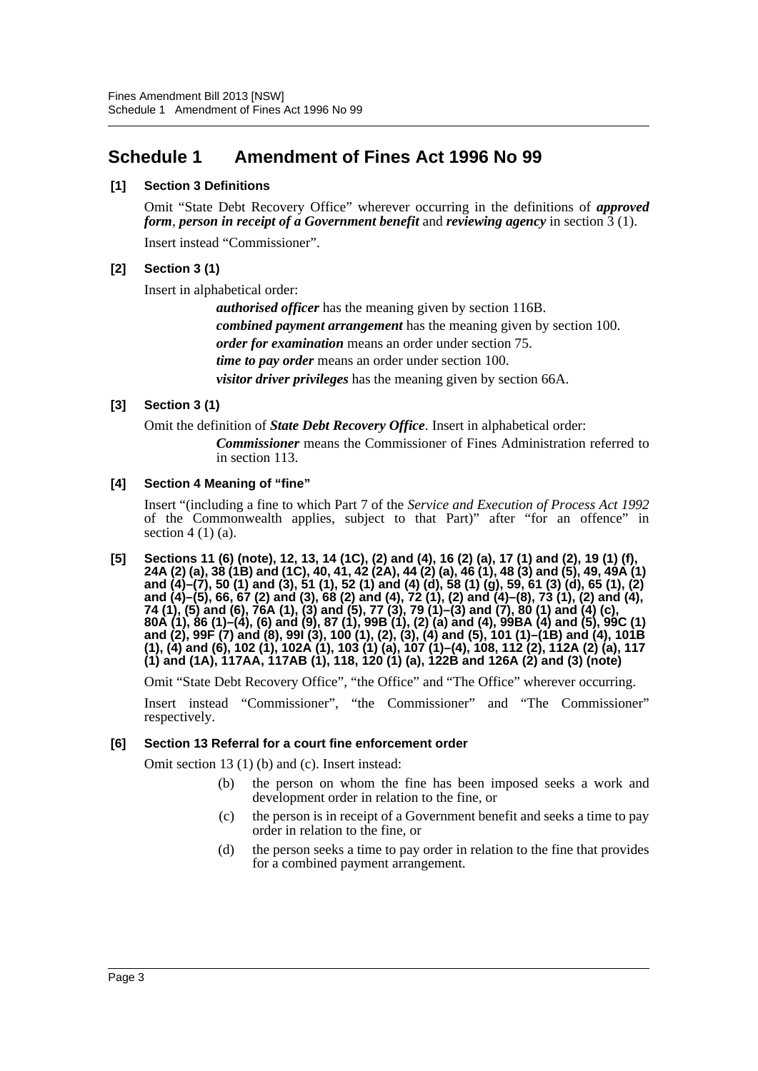# <span id="page-3-0"></span>**Schedule 1 Amendment of Fines Act 1996 No 99**

## **[1] Section 3 Definitions**

Omit "State Debt Recovery Office" wherever occurring in the definitions of *approved form*, *person in receipt of a Government benefit* and *reviewing agency* in section 3 (1).

Insert instead "Commissioner".

## **[2] Section 3 (1)**

Insert in alphabetical order:

*authorised officer* has the meaning given by section 116B. *combined payment arrangement* has the meaning given by section 100. *order for examination* means an order under section 75. *time to pay order* means an order under section 100. *visitor driver privileges* has the meaning given by section 66A.

## **[3] Section 3 (1)**

Omit the definition of *State Debt Recovery Office*. Insert in alphabetical order: *Commissioner* means the Commissioner of Fines Administration referred to in section 113.

## **[4] Section 4 Meaning of "fine"**

Insert "(including a fine to which Part 7 of the *Service and Execution of Process Act 1992* of the Commonwealth applies, subject to that Part)" after "for an offence" in section  $4(1)(a)$ .

**[5] Sections 11 (6) (note), 12, 13, 14 (1C), (2) and (4), 16 (2) (a), 17 (1) and (2), 19 (1) (f), 24A (2) (a), 38 (1B) and (1C), 40, 41, 42 (2A), 44 (2) (a), 46 (1), 48 (3) and (5), 49, 49A (1) and (4)–(7), 50 (1) and (3), 51 (1), 52 (1) and (4) (d), 58 (1) (g), 59, 61 (3) (d), 65 (1), (2) and (4)–(5), 66, 67 (2) and (3), 68 (2) and (4), 72 (1), (2) and (4)–(8), 73 (1), (2) and (4), 74 (1), (5) and (6), 76A (1), (3) and (5), 77 (3), 79 (1)–(3) and (7), 80 (1) and (4) (c), 80A (1), 86 (1)–(4), (6) and (9), 87 (1), 99B (1), (2) (a) and (4), 99BA (4) and (5), 99C (1) and (2), 99F (7) and (8), 99I (3), 100 (1), (2), (3), (4) and (5), 101 (1)–(1B) and (4), 101B (1), (4) and (6), 102 (1), 102A (1), 103 (1) (a), 107 (1)–(4), 108, 112 (2), 112A (2) (a), 117 (1) and (1A), 117AA, 117AB (1), 118, 120 (1) (a), 122B and 126A (2) and (3) (note)**

Omit "State Debt Recovery Office", "the Office" and "The Office" wherever occurring.

Insert instead "Commissioner", "the Commissioner" and "The Commissioner" respectively.

## **[6] Section 13 Referral for a court fine enforcement order**

Omit section 13 (1) (b) and (c). Insert instead:

- (b) the person on whom the fine has been imposed seeks a work and development order in relation to the fine, or
- (c) the person is in receipt of a Government benefit and seeks a time to pay order in relation to the fine, or
- (d) the person seeks a time to pay order in relation to the fine that provides for a combined payment arrangement.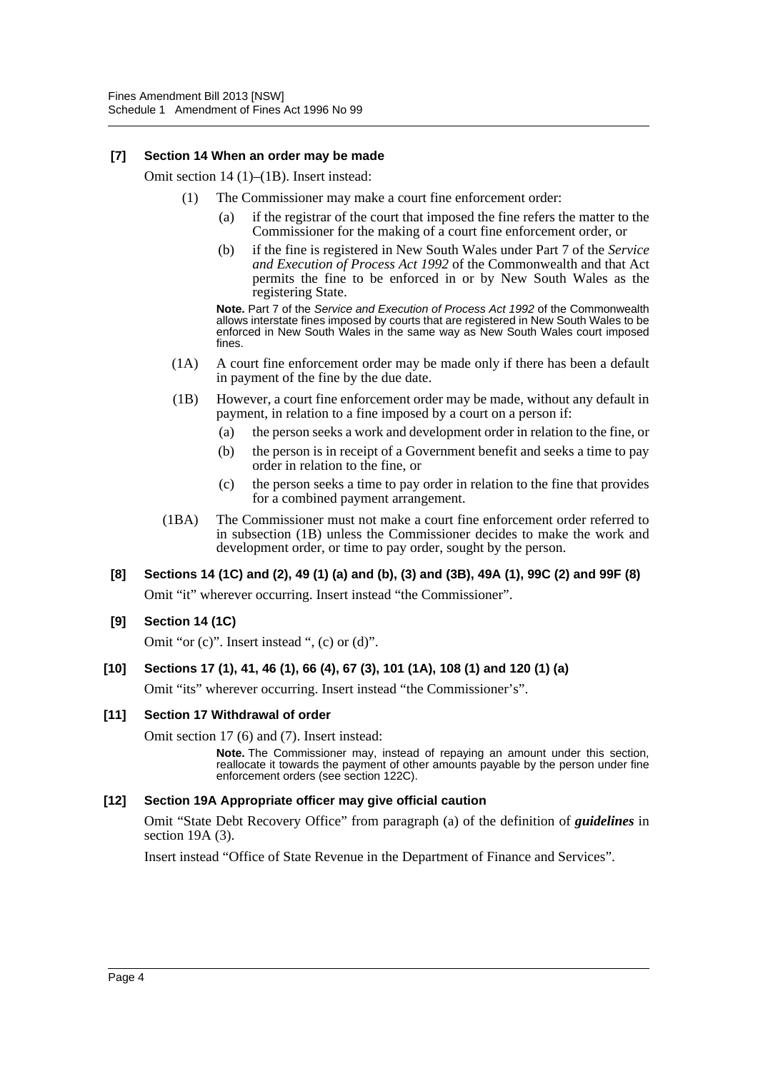### **[7] Section 14 When an order may be made**

Omit section 14 (1)–(1B). Insert instead:

- (1) The Commissioner may make a court fine enforcement order:
	- (a) if the registrar of the court that imposed the fine refers the matter to the Commissioner for the making of a court fine enforcement order, or
	- (b) if the fine is registered in New South Wales under Part 7 of the *Service and Execution of Process Act 1992* of the Commonwealth and that Act permits the fine to be enforced in or by New South Wales as the registering State.

**Note.** Part 7 of the *Service and Execution of Process Act 1992* of the Commonwealth allows interstate fines imposed by courts that are registered in New South Wales to be enforced in New South Wales in the same way as New South Wales court imposed fines.

- (1A) A court fine enforcement order may be made only if there has been a default in payment of the fine by the due date.
- (1B) However, a court fine enforcement order may be made, without any default in payment, in relation to a fine imposed by a court on a person if:
	- (a) the person seeks a work and development order in relation to the fine, or
	- (b) the person is in receipt of a Government benefit and seeks a time to pay order in relation to the fine, or
	- (c) the person seeks a time to pay order in relation to the fine that provides for a combined payment arrangement.
- (1BA) The Commissioner must not make a court fine enforcement order referred to in subsection (1B) unless the Commissioner decides to make the work and development order, or time to pay order, sought by the person.

## **[8] Sections 14 (1C) and (2), 49 (1) (a) and (b), (3) and (3B), 49A (1), 99C (2) and 99F (8)**

Omit "it" wherever occurring. Insert instead "the Commissioner".

### **[9] Section 14 (1C)**

Omit "or (c)". Insert instead ", (c) or (d)".

### **[10] Sections 17 (1), 41, 46 (1), 66 (4), 67 (3), 101 (1A), 108 (1) and 120 (1) (a)**

Omit "its" wherever occurring. Insert instead "the Commissioner's".

### **[11] Section 17 Withdrawal of order**

Omit section 17 (6) and (7). Insert instead:

**Note.** The Commissioner may, instead of repaying an amount under this section, reallocate it towards the payment of other amounts payable by the person under fine enforcement orders (see section 122C).

### **[12] Section 19A Appropriate officer may give official caution**

Omit "State Debt Recovery Office" from paragraph (a) of the definition of *guidelines* in section 19A (3).

Insert instead "Office of State Revenue in the Department of Finance and Services".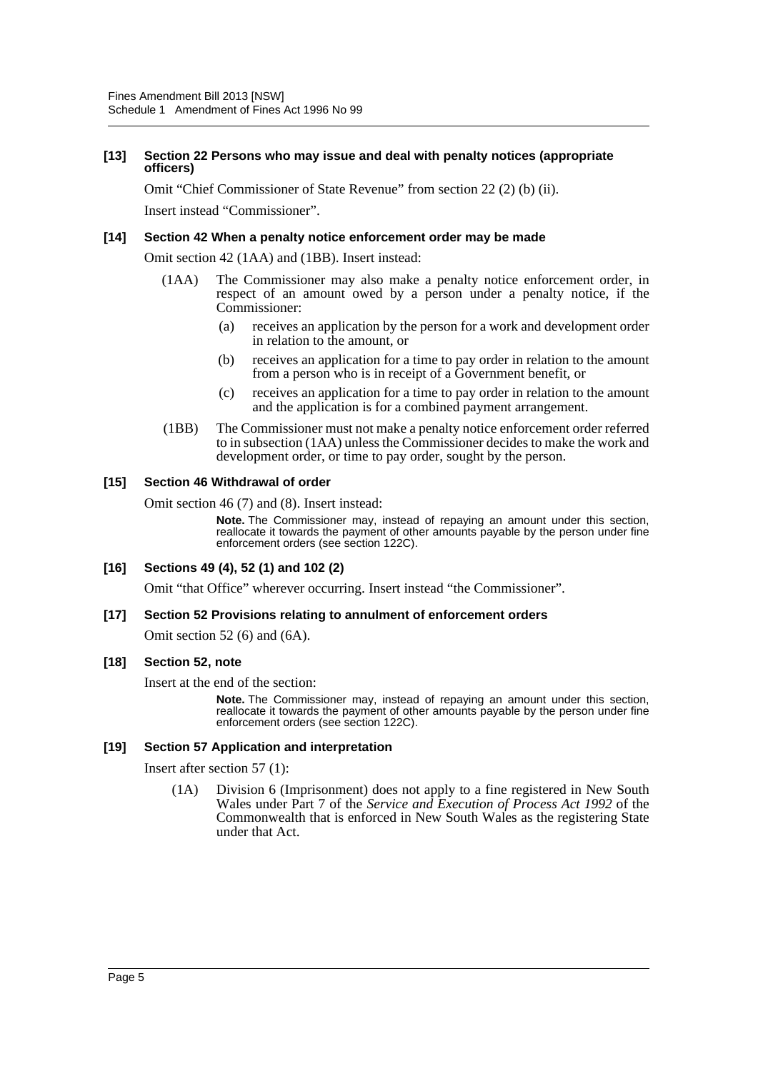### **[13] Section 22 Persons who may issue and deal with penalty notices (appropriate officers)**

Omit "Chief Commissioner of State Revenue" from section 22 (2) (b) (ii).

Insert instead "Commissioner".

### **[14] Section 42 When a penalty notice enforcement order may be made**

Omit section 42 (1AA) and (1BB). Insert instead:

- (1AA) The Commissioner may also make a penalty notice enforcement order, in respect of an amount owed by a person under a penalty notice, if the Commissioner:
	- (a) receives an application by the person for a work and development order in relation to the amount, or
	- (b) receives an application for a time to pay order in relation to the amount from a person who is in receipt of a Government benefit, or
	- (c) receives an application for a time to pay order in relation to the amount and the application is for a combined payment arrangement.
- (1BB) The Commissioner must not make a penalty notice enforcement order referred to in subsection (1AA) unless the Commissioner decides to make the work and development order, or time to pay order, sought by the person.

### **[15] Section 46 Withdrawal of order**

Omit section 46 (7) and (8). Insert instead:

**Note.** The Commissioner may, instead of repaying an amount under this section, reallocate it towards the payment of other amounts payable by the person under fine enforcement orders (see section 122C).

### **[16] Sections 49 (4), 52 (1) and 102 (2)**

Omit "that Office" wherever occurring. Insert instead "the Commissioner".

### **[17] Section 52 Provisions relating to annulment of enforcement orders**

Omit section 52 (6) and (6A).

### **[18] Section 52, note**

Insert at the end of the section:

**Note.** The Commissioner may, instead of repaying an amount under this section, reallocate it towards the payment of other amounts payable by the person under fine enforcement orders (see section 122C).

### **[19] Section 57 Application and interpretation**

Insert after section 57 (1):

(1A) Division 6 (Imprisonment) does not apply to a fine registered in New South Wales under Part 7 of the *Service and Execution of Process Act 1992* of the Commonwealth that is enforced in New South Wales as the registering State under that Act.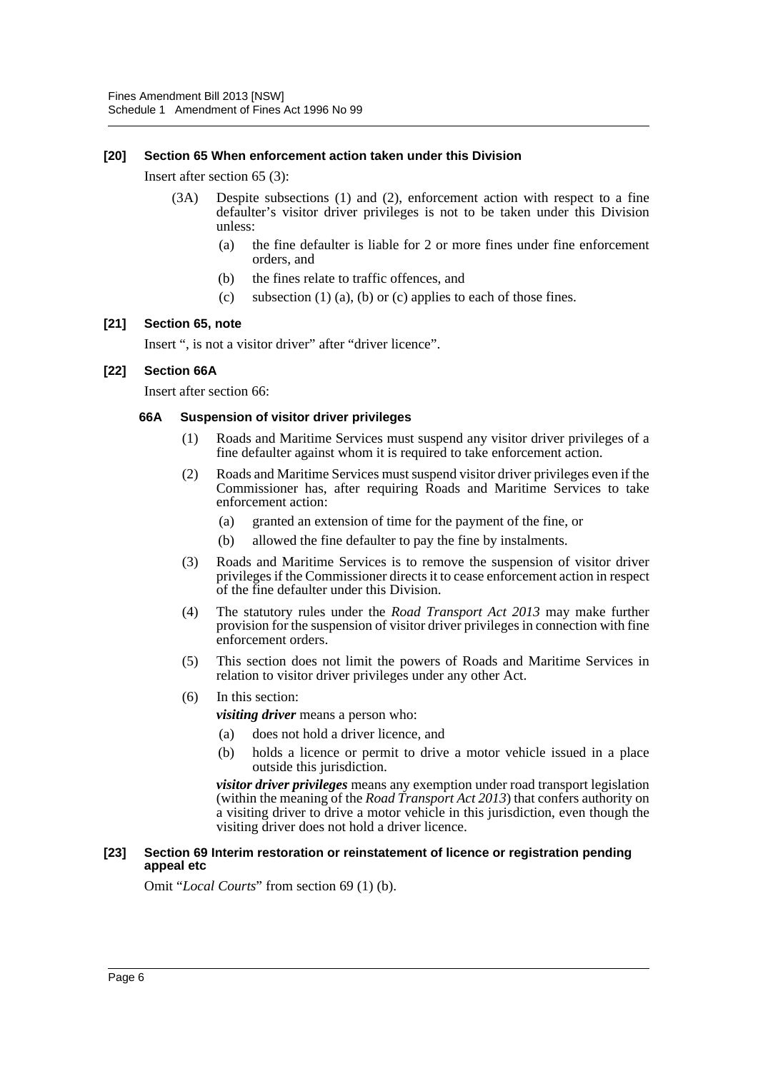### **[20] Section 65 When enforcement action taken under this Division**

Insert after section 65 (3):

- (3A) Despite subsections (1) and (2), enforcement action with respect to a fine defaulter's visitor driver privileges is not to be taken under this Division unless:
	- (a) the fine defaulter is liable for 2 or more fines under fine enforcement orders, and
	- (b) the fines relate to traffic offences, and
	- (c) subsection (1) (a), (b) or (c) applies to each of those fines.

### **[21] Section 65, note**

Insert ", is not a visitor driver" after "driver licence".

### **[22] Section 66A**

Insert after section 66:

### **66A Suspension of visitor driver privileges**

- (1) Roads and Maritime Services must suspend any visitor driver privileges of a fine defaulter against whom it is required to take enforcement action.
- (2) Roads and Maritime Services must suspend visitor driver privileges even if the Commissioner has, after requiring Roads and Maritime Services to take enforcement action:
	- (a) granted an extension of time for the payment of the fine, or
	- (b) allowed the fine defaulter to pay the fine by instalments.
- (3) Roads and Maritime Services is to remove the suspension of visitor driver privileges if the Commissioner directs it to cease enforcement action in respect of the fine defaulter under this Division.
- (4) The statutory rules under the *Road Transport Act 2013* may make further provision for the suspension of visitor driver privileges in connection with fine enforcement orders.
- (5) This section does not limit the powers of Roads and Maritime Services in relation to visitor driver privileges under any other Act.
- (6) In this section:

*visiting driver* means a person who:

- (a) does not hold a driver licence, and
- (b) holds a licence or permit to drive a motor vehicle issued in a place outside this jurisdiction.

*visitor driver privileges* means any exemption under road transport legislation (within the meaning of the *Road Transport Act 2013*) that confers authority on a visiting driver to drive a motor vehicle in this jurisdiction, even though the visiting driver does not hold a driver licence.

### **[23] Section 69 Interim restoration or reinstatement of licence or registration pending appeal etc**

Omit "*Local Courts*" from section 69 (1) (b).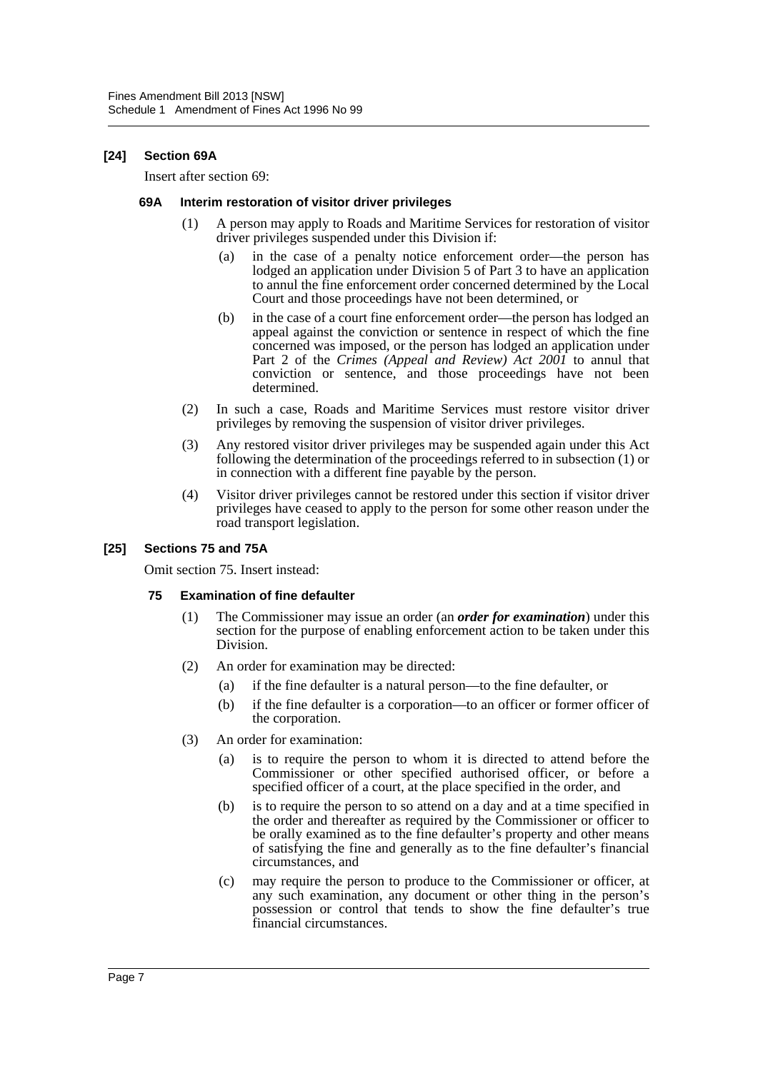### **[24] Section 69A**

Insert after section 69:

### **69A Interim restoration of visitor driver privileges**

- (1) A person may apply to Roads and Maritime Services for restoration of visitor driver privileges suspended under this Division if:
	- (a) in the case of a penalty notice enforcement order—the person has lodged an application under Division 5 of Part 3 to have an application to annul the fine enforcement order concerned determined by the Local Court and those proceedings have not been determined, or
	- (b) in the case of a court fine enforcement order—the person has lodged an appeal against the conviction or sentence in respect of which the fine concerned was imposed, or the person has lodged an application under Part 2 of the *Crimes (Appeal and Review) Act 2001* to annul that conviction or sentence, and those proceedings have not been determined.
- (2) In such a case, Roads and Maritime Services must restore visitor driver privileges by removing the suspension of visitor driver privileges.
- (3) Any restored visitor driver privileges may be suspended again under this Act following the determination of the proceedings referred to in subsection (1) or in connection with a different fine payable by the person.
- (4) Visitor driver privileges cannot be restored under this section if visitor driver privileges have ceased to apply to the person for some other reason under the road transport legislation.

### **[25] Sections 75 and 75A**

Omit section 75. Insert instead:

### **75 Examination of fine defaulter**

- (1) The Commissioner may issue an order (an *order for examination*) under this section for the purpose of enabling enforcement action to be taken under this Division.
- (2) An order for examination may be directed:
	- (a) if the fine defaulter is a natural person—to the fine defaulter, or
	- (b) if the fine defaulter is a corporation—to an officer or former officer of the corporation.
- (3) An order for examination:
	- (a) is to require the person to whom it is directed to attend before the Commissioner or other specified authorised officer, or before a specified officer of a court, at the place specified in the order, and
	- (b) is to require the person to so attend on a day and at a time specified in the order and thereafter as required by the Commissioner or officer to be orally examined as to the fine defaulter's property and other means of satisfying the fine and generally as to the fine defaulter's financial circumstances, and
	- (c) may require the person to produce to the Commissioner or officer, at any such examination, any document or other thing in the person's possession or control that tends to show the fine defaulter's true financial circumstances.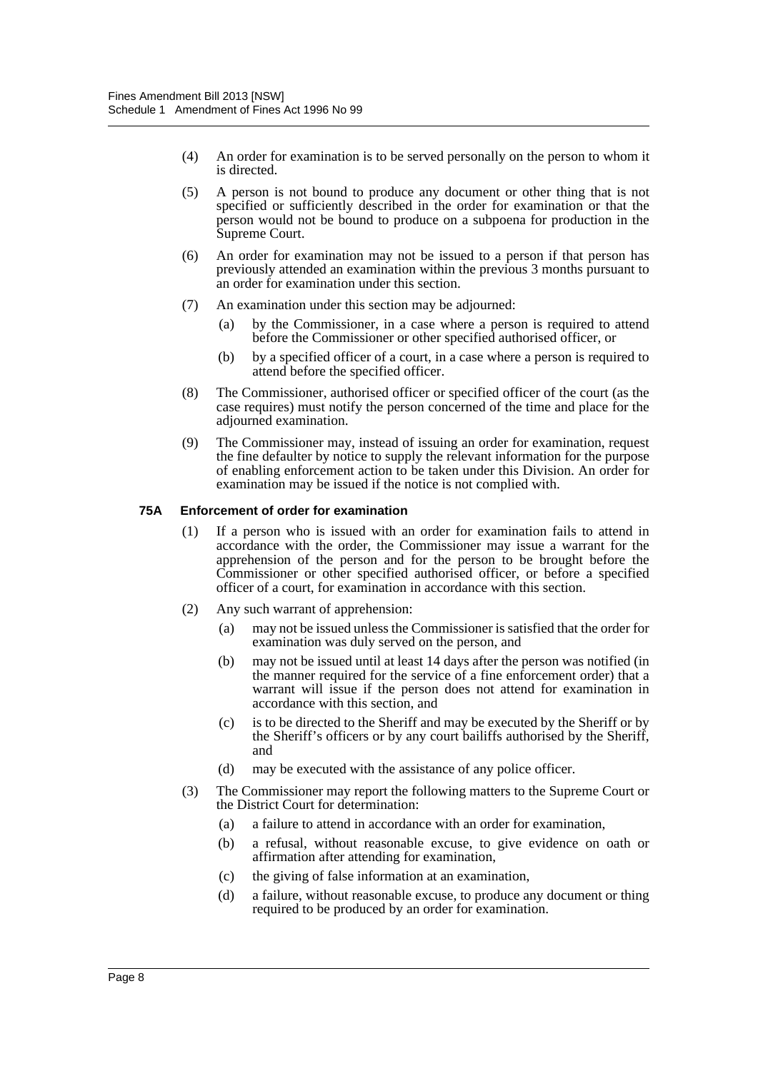- (4) An order for examination is to be served personally on the person to whom it is directed.
- (5) A person is not bound to produce any document or other thing that is not specified or sufficiently described in the order for examination or that the person would not be bound to produce on a subpoena for production in the Supreme Court.
- (6) An order for examination may not be issued to a person if that person has previously attended an examination within the previous 3 months pursuant to an order for examination under this section.
- (7) An examination under this section may be adjourned:
	- (a) by the Commissioner, in a case where a person is required to attend before the Commissioner or other specified authorised officer, or
	- (b) by a specified officer of a court, in a case where a person is required to attend before the specified officer.
- (8) The Commissioner, authorised officer or specified officer of the court (as the case requires) must notify the person concerned of the time and place for the adjourned examination.
- (9) The Commissioner may, instead of issuing an order for examination, request the fine defaulter by notice to supply the relevant information for the purpose of enabling enforcement action to be taken under this Division. An order for examination may be issued if the notice is not complied with.

### **75A Enforcement of order for examination**

- (1) If a person who is issued with an order for examination fails to attend in accordance with the order, the Commissioner may issue a warrant for the apprehension of the person and for the person to be brought before the Commissioner or other specified authorised officer, or before a specified officer of a court, for examination in accordance with this section.
- (2) Any such warrant of apprehension:
	- (a) may not be issued unless the Commissioner is satisfied that the order for examination was duly served on the person, and
	- (b) may not be issued until at least 14 days after the person was notified (in the manner required for the service of a fine enforcement order) that a warrant will issue if the person does not attend for examination in accordance with this section, and
	- (c) is to be directed to the Sheriff and may be executed by the Sheriff or by the Sheriff's officers or by any court bailiffs authorised by the Sheriff, and
	- (d) may be executed with the assistance of any police officer.
- (3) The Commissioner may report the following matters to the Supreme Court or the District Court for determination:
	- (a) a failure to attend in accordance with an order for examination,
	- (b) a refusal, without reasonable excuse, to give evidence on oath or affirmation after attending for examination,
	- (c) the giving of false information at an examination,
	- (d) a failure, without reasonable excuse, to produce any document or thing required to be produced by an order for examination.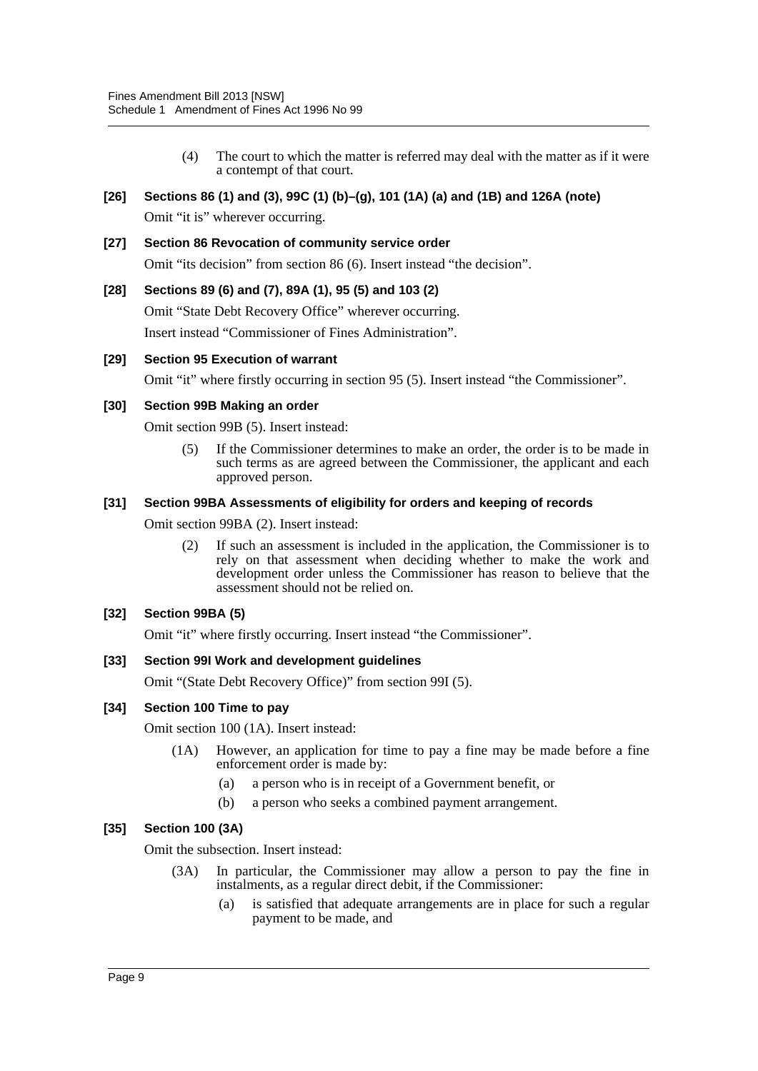(4) The court to which the matter is referred may deal with the matter as if it were a contempt of that court.

## **[26] Sections 86 (1) and (3), 99C (1) (b)–(g), 101 (1A) (a) and (1B) and 126A (note)**

Omit "it is" wherever occurring.

**[27] Section 86 Revocation of community service order** Omit "its decision" from section 86 (6). Insert instead "the decision".

## **[28] Sections 89 (6) and (7), 89A (1), 95 (5) and 103 (2)**

Omit "State Debt Recovery Office" wherever occurring. Insert instead "Commissioner of Fines Administration".

## **[29] Section 95 Execution of warrant**

Omit "it" where firstly occurring in section 95 (5). Insert instead "the Commissioner".

### **[30] Section 99B Making an order**

Omit section 99B (5). Insert instead:

(5) If the Commissioner determines to make an order, the order is to be made in such terms as are agreed between the Commissioner, the applicant and each approved person.

### **[31] Section 99BA Assessments of eligibility for orders and keeping of records**

Omit section 99BA (2). Insert instead:

(2) If such an assessment is included in the application, the Commissioner is to rely on that assessment when deciding whether to make the work and development order unless the Commissioner has reason to believe that the assessment should not be relied on.

### **[32] Section 99BA (5)**

Omit "it" where firstly occurring. Insert instead "the Commissioner".

### **[33] Section 99I Work and development guidelines**

Omit "(State Debt Recovery Office)" from section 99I (5).

### **[34] Section 100 Time to pay**

Omit section 100 (1A). Insert instead:

- (1A) However, an application for time to pay a fine may be made before a fine enforcement order is made by:
	- (a) a person who is in receipt of a Government benefit, or
	- (b) a person who seeks a combined payment arrangement.

## **[35] Section 100 (3A)**

Omit the subsection. Insert instead:

- (3A) In particular, the Commissioner may allow a person to pay the fine in instalments, as a regular direct debit, if the Commissioner:
	- (a) is satisfied that adequate arrangements are in place for such a regular payment to be made, and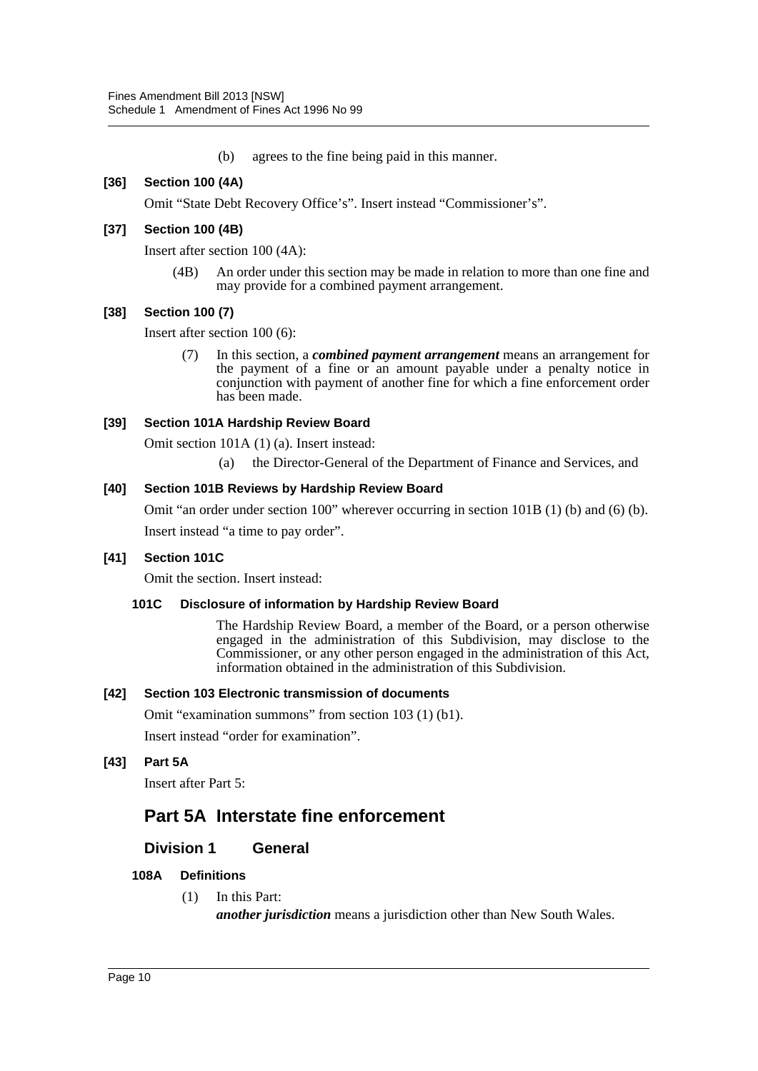(b) agrees to the fine being paid in this manner.

## **[36] Section 100 (4A)**

Omit "State Debt Recovery Office's". Insert instead "Commissioner's".

### **[37] Section 100 (4B)**

Insert after section 100 (4A):

(4B) An order under this section may be made in relation to more than one fine and may provide for a combined payment arrangement.

## **[38] Section 100 (7)**

Insert after section 100 (6):

(7) In this section, a *combined payment arrangement* means an arrangement for the payment of a fine or an amount payable under a penalty notice in conjunction with payment of another fine for which a fine enforcement order has been made.

## **[39] Section 101A Hardship Review Board**

Omit section 101A (1) (a). Insert instead:

(a) the Director-General of the Department of Finance and Services, and

### **[40] Section 101B Reviews by Hardship Review Board**

Omit "an order under section 100" wherever occurring in section 101B (1) (b) and (6) (b). Insert instead "a time to pay order".

### **[41] Section 101C**

Omit the section. Insert instead:

### **101C Disclosure of information by Hardship Review Board**

The Hardship Review Board, a member of the Board, or a person otherwise engaged in the administration of this Subdivision, may disclose to the Commissioner, or any other person engaged in the administration of this Act, information obtained in the administration of this Subdivision.

### **[42] Section 103 Electronic transmission of documents**

Omit "examination summons" from section 103 (1) (b1).

Insert instead "order for examination".

### **[43] Part 5A**

Insert after Part 5:

# **Part 5A Interstate fine enforcement**

## **Division 1 General**

### **108A Definitions**

### (1) In this Part:

*another jurisdiction* means a jurisdiction other than New South Wales.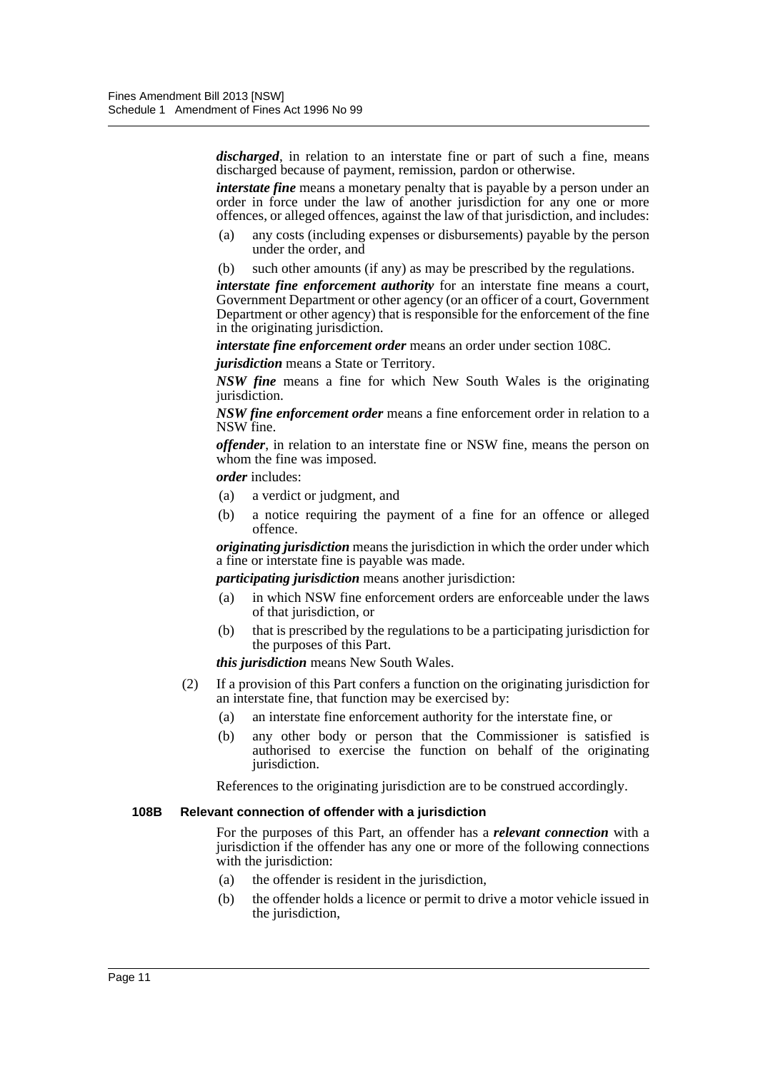*discharged*, in relation to an interstate fine or part of such a fine, means discharged because of payment, remission, pardon or otherwise.

*interstate fine* means a monetary penalty that is payable by a person under an order in force under the law of another jurisdiction for any one or more offences, or alleged offences, against the law of that jurisdiction, and includes:

- (a) any costs (including expenses or disbursements) payable by the person under the order, and
- (b) such other amounts (if any) as may be prescribed by the regulations.

*interstate fine enforcement authority* for an interstate fine means a court, Government Department or other agency (or an officer of a court, Government Department or other agency) that is responsible for the enforcement of the fine in the originating jurisdiction.

*interstate fine enforcement order* means an order under section 108C.

*jurisdiction* means a State or Territory.

*NSW fine* means a fine for which New South Wales is the originating jurisdiction.

*NSW fine enforcement order* means a fine enforcement order in relation to a NSW fine.

*offender*, in relation to an interstate fine or NSW fine, means the person on whom the fine was imposed.

*order* includes:

- (a) a verdict or judgment, and
- (b) a notice requiring the payment of a fine for an offence or alleged offence.

*originating jurisdiction* means the jurisdiction in which the order under which a fine or interstate fine is payable was made.

*participating jurisdiction* means another jurisdiction:

- (a) in which NSW fine enforcement orders are enforceable under the laws of that jurisdiction, or
- (b) that is prescribed by the regulations to be a participating jurisdiction for the purposes of this Part.

*this jurisdiction* means New South Wales.

- (2) If a provision of this Part confers a function on the originating jurisdiction for an interstate fine, that function may be exercised by:
	- (a) an interstate fine enforcement authority for the interstate fine, or
	- (b) any other body or person that the Commissioner is satisfied is authorised to exercise the function on behalf of the originating jurisdiction.

References to the originating jurisdiction are to be construed accordingly.

### **108B Relevant connection of offender with a jurisdiction**

For the purposes of this Part, an offender has a *relevant connection* with a jurisdiction if the offender has any one or more of the following connections with the jurisdiction:

- (a) the offender is resident in the jurisdiction,
- (b) the offender holds a licence or permit to drive a motor vehicle issued in the jurisdiction,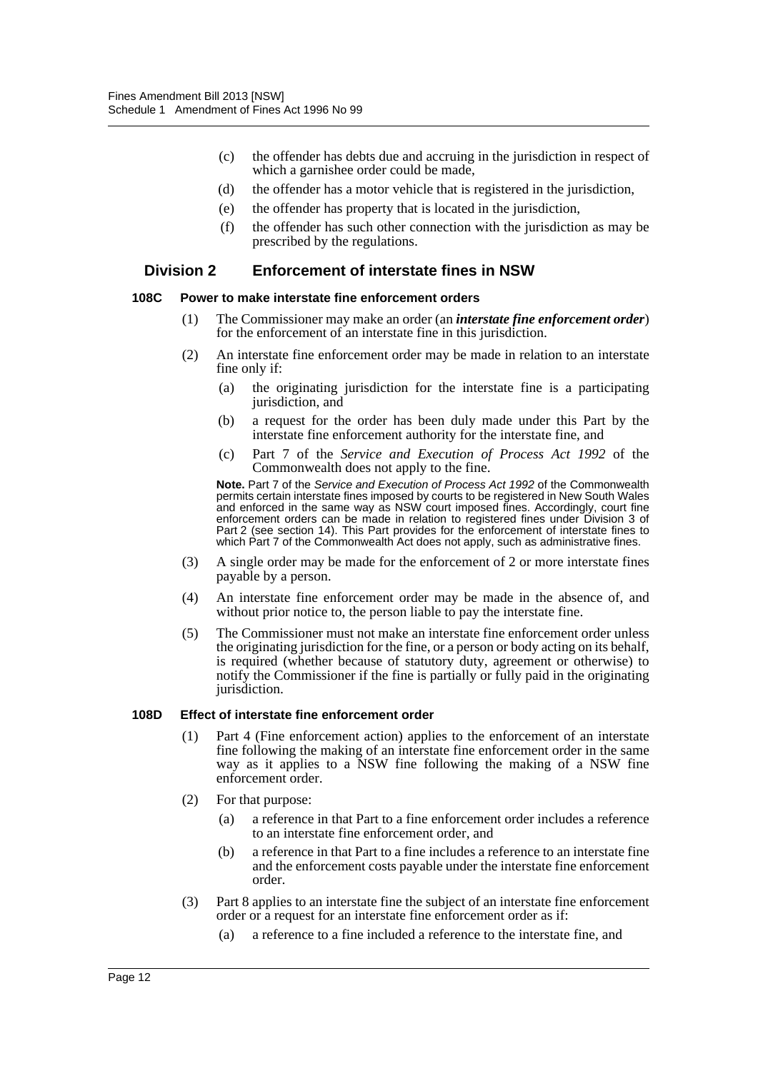- (c) the offender has debts due and accruing in the jurisdiction in respect of which a garnishee order could be made,
- (d) the offender has a motor vehicle that is registered in the jurisdiction,
- (e) the offender has property that is located in the jurisdiction,
- (f) the offender has such other connection with the jurisdiction as may be prescribed by the regulations.

### **Division 2 Enforcement of interstate fines in NSW**

### **108C Power to make interstate fine enforcement orders**

- (1) The Commissioner may make an order (an *interstate fine enforcement order*) for the enforcement of an interstate fine in this jurisdiction.
- (2) An interstate fine enforcement order may be made in relation to an interstate fine only if:
	- (a) the originating jurisdiction for the interstate fine is a participating jurisdiction, and
	- (b) a request for the order has been duly made under this Part by the interstate fine enforcement authority for the interstate fine, and
	- (c) Part 7 of the *Service and Execution of Process Act 1992* of the Commonwealth does not apply to the fine.

**Note.** Part 7 of the *Service and Execution of Process Act 1992* of the Commonwealth permits certain interstate fines imposed by courts to be registered in New South Wales and enforced in the same way as NSW court imposed fines. Accordingly, court fine enforcement orders can be made in relation to registered fines under Division 3 of Part 2 (see section 14). This Part provides for the enforcement of interstate fines to which Part 7 of the Commonwealth Act does not apply, such as administrative fines.

- (3) A single order may be made for the enforcement of 2 or more interstate fines payable by a person.
- (4) An interstate fine enforcement order may be made in the absence of, and without prior notice to, the person liable to pay the interstate fine.
- (5) The Commissioner must not make an interstate fine enforcement order unless the originating jurisdiction for the fine, or a person or body acting on its behalf, is required (whether because of statutory duty, agreement or otherwise) to notify the Commissioner if the fine is partially or fully paid in the originating jurisdiction.

### **108D Effect of interstate fine enforcement order**

- (1) Part 4 (Fine enforcement action) applies to the enforcement of an interstate fine following the making of an interstate fine enforcement order in the same way as it applies to a NSW fine following the making of a NSW fine enforcement order.
- (2) For that purpose:
	- (a) a reference in that Part to a fine enforcement order includes a reference to an interstate fine enforcement order, and
	- (b) a reference in that Part to a fine includes a reference to an interstate fine and the enforcement costs payable under the interstate fine enforcement order.
- (3) Part 8 applies to an interstate fine the subject of an interstate fine enforcement order or a request for an interstate fine enforcement order as if:
	- (a) a reference to a fine included a reference to the interstate fine, and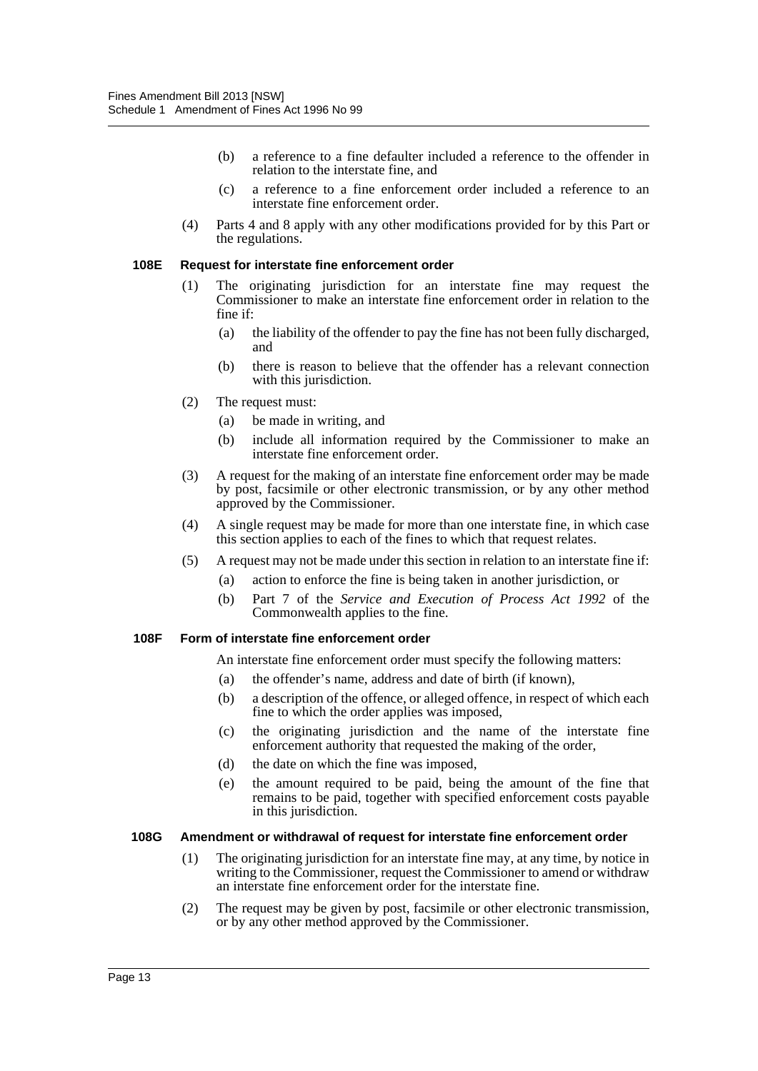- (b) a reference to a fine defaulter included a reference to the offender in relation to the interstate fine, and
- (c) a reference to a fine enforcement order included a reference to an interstate fine enforcement order.
- (4) Parts 4 and 8 apply with any other modifications provided for by this Part or the regulations.

### **108E Request for interstate fine enforcement order**

- (1) The originating jurisdiction for an interstate fine may request the Commissioner to make an interstate fine enforcement order in relation to the fine if:
	- (a) the liability of the offender to pay the fine has not been fully discharged, and
	- (b) there is reason to believe that the offender has a relevant connection with this jurisdiction.
- (2) The request must:
	- (a) be made in writing, and
	- (b) include all information required by the Commissioner to make an interstate fine enforcement order.
- (3) A request for the making of an interstate fine enforcement order may be made by post, facsimile or other electronic transmission, or by any other method approved by the Commissioner.
- (4) A single request may be made for more than one interstate fine, in which case this section applies to each of the fines to which that request relates.
- (5) A request may not be made under this section in relation to an interstate fine if:
	- (a) action to enforce the fine is being taken in another jurisdiction, or
	- (b) Part 7 of the *Service and Execution of Process Act 1992* of the Commonwealth applies to the fine.

### **108F Form of interstate fine enforcement order**

An interstate fine enforcement order must specify the following matters:

- (a) the offender's name, address and date of birth (if known),
- (b) a description of the offence, or alleged offence, in respect of which each fine to which the order applies was imposed,
- (c) the originating jurisdiction and the name of the interstate fine enforcement authority that requested the making of the order,
- (d) the date on which the fine was imposed,
- (e) the amount required to be paid, being the amount of the fine that remains to be paid, together with specified enforcement costs payable in this jurisdiction.

### **108G Amendment or withdrawal of request for interstate fine enforcement order**

- (1) The originating jurisdiction for an interstate fine may, at any time, by notice in writing to the Commissioner, request the Commissioner to amend or withdraw an interstate fine enforcement order for the interstate fine.
- (2) The request may be given by post, facsimile or other electronic transmission, or by any other method approved by the Commissioner.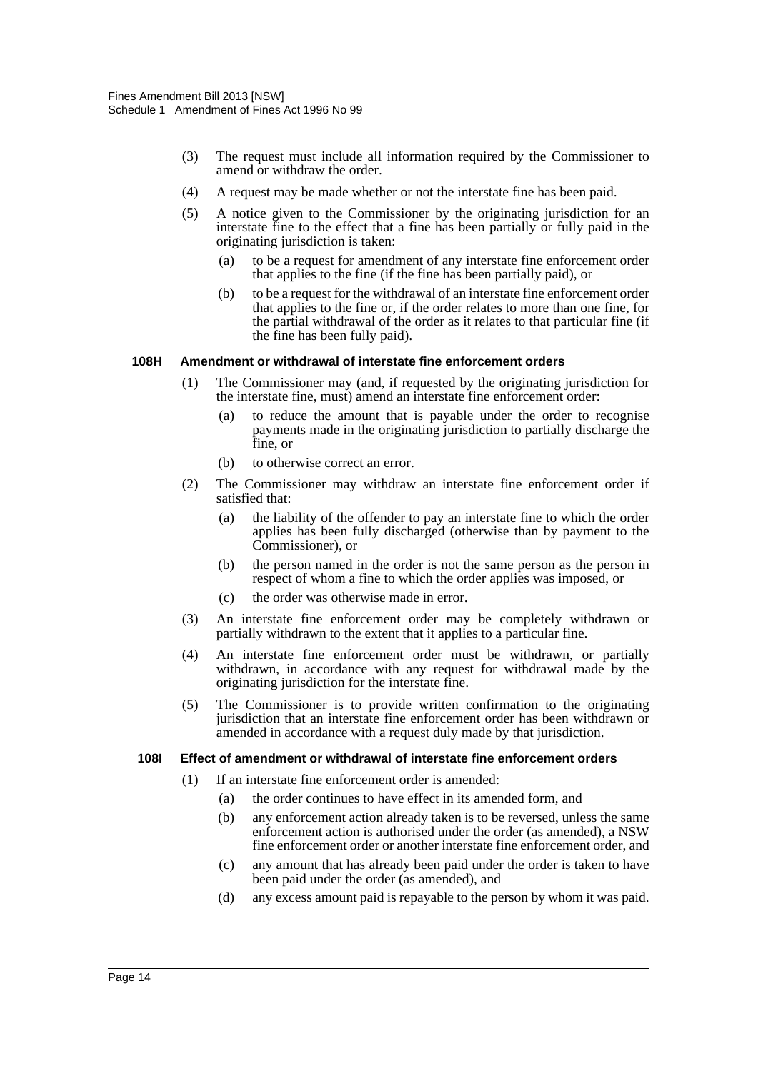- (3) The request must include all information required by the Commissioner to amend or withdraw the order.
- (4) A request may be made whether or not the interstate fine has been paid.
- (5) A notice given to the Commissioner by the originating jurisdiction for an interstate fine to the effect that a fine has been partially or fully paid in the originating jurisdiction is taken:
	- (a) to be a request for amendment of any interstate fine enforcement order that applies to the fine (if the fine has been partially paid), or
	- (b) to be a request for the withdrawal of an interstate fine enforcement order that applies to the fine or, if the order relates to more than one fine, for the partial withdrawal of the order as it relates to that particular fine (if the fine has been fully paid).

### **108H Amendment or withdrawal of interstate fine enforcement orders**

- (1) The Commissioner may (and, if requested by the originating jurisdiction for the interstate fine, must) amend an interstate fine enforcement order:
	- (a) to reduce the amount that is payable under the order to recognise payments made in the originating jurisdiction to partially discharge the fine, or
	- (b) to otherwise correct an error.
- (2) The Commissioner may withdraw an interstate fine enforcement order if satisfied that:
	- (a) the liability of the offender to pay an interstate fine to which the order applies has been fully discharged (otherwise than by payment to the Commissioner), or
	- (b) the person named in the order is not the same person as the person in respect of whom a fine to which the order applies was imposed, or
	- (c) the order was otherwise made in error.
- (3) An interstate fine enforcement order may be completely withdrawn or partially withdrawn to the extent that it applies to a particular fine.
- (4) An interstate fine enforcement order must be withdrawn, or partially withdrawn, in accordance with any request for withdrawal made by the originating jurisdiction for the interstate fine.
- (5) The Commissioner is to provide written confirmation to the originating jurisdiction that an interstate fine enforcement order has been withdrawn or amended in accordance with a request duly made by that jurisdiction.

### **108I Effect of amendment or withdrawal of interstate fine enforcement orders**

- (1) If an interstate fine enforcement order is amended:
	- (a) the order continues to have effect in its amended form, and
	- (b) any enforcement action already taken is to be reversed, unless the same enforcement action is authorised under the order (as amended), a NSW fine enforcement order or another interstate fine enforcement order, and
	- (c) any amount that has already been paid under the order is taken to have been paid under the order (as amended), and
	- (d) any excess amount paid is repayable to the person by whom it was paid.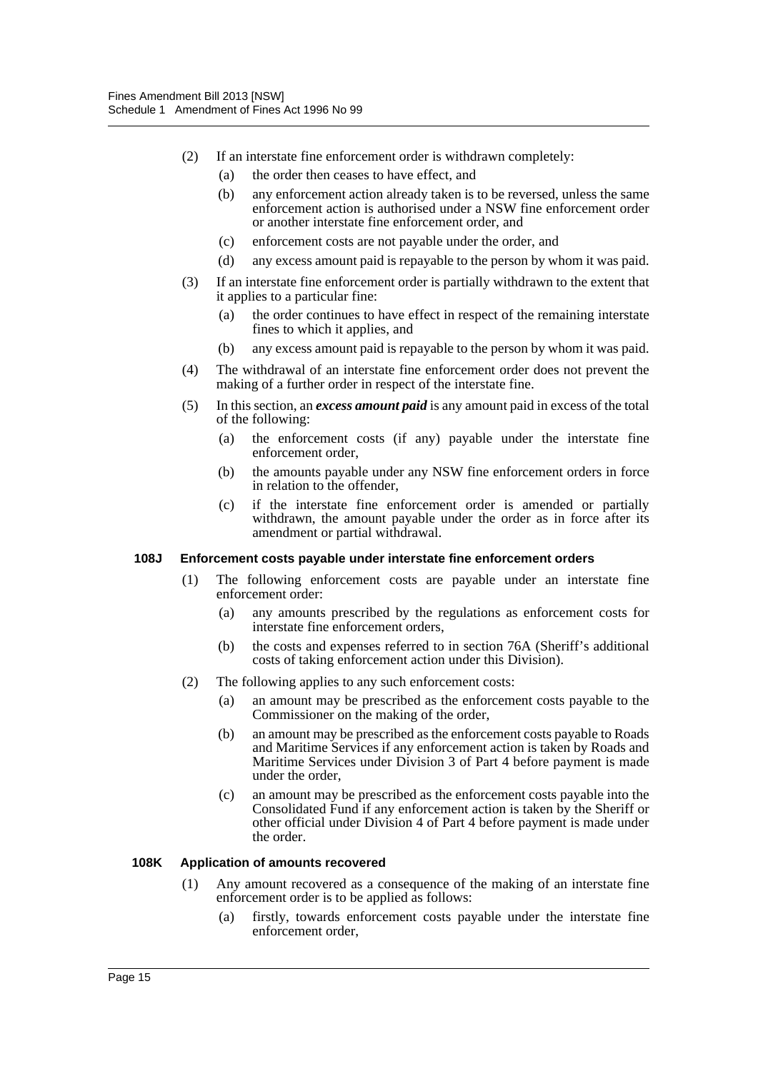- (2) If an interstate fine enforcement order is withdrawn completely:
	- (a) the order then ceases to have effect, and
	- (b) any enforcement action already taken is to be reversed, unless the same enforcement action is authorised under a NSW fine enforcement order or another interstate fine enforcement order, and
	- (c) enforcement costs are not payable under the order, and
	- (d) any excess amount paid is repayable to the person by whom it was paid.
- (3) If an interstate fine enforcement order is partially withdrawn to the extent that it applies to a particular fine:
	- (a) the order continues to have effect in respect of the remaining interstate fines to which it applies, and
	- (b) any excess amount paid is repayable to the person by whom it was paid.
- (4) The withdrawal of an interstate fine enforcement order does not prevent the making of a further order in respect of the interstate fine.
- (5) In this section, an *excess amount paid* is any amount paid in excess of the total of the following:
	- (a) the enforcement costs (if any) payable under the interstate fine enforcement order,
	- (b) the amounts payable under any NSW fine enforcement orders in force in relation to the offender.
	- (c) if the interstate fine enforcement order is amended or partially withdrawn, the amount payable under the order as in force after its amendment or partial withdrawal.

### **108J Enforcement costs payable under interstate fine enforcement orders**

- (1) The following enforcement costs are payable under an interstate fine enforcement order:
	- (a) any amounts prescribed by the regulations as enforcement costs for interstate fine enforcement orders,
	- (b) the costs and expenses referred to in section 76A (Sheriff's additional costs of taking enforcement action under this Division).
- (2) The following applies to any such enforcement costs:
	- (a) an amount may be prescribed as the enforcement costs payable to the Commissioner on the making of the order,
	- (b) an amount may be prescribed as the enforcement costs payable to Roads and Maritime Services if any enforcement action is taken by Roads and Maritime Services under Division 3 of Part 4 before payment is made under the order,
	- (c) an amount may be prescribed as the enforcement costs payable into the Consolidated Fund if any enforcement action is taken by the Sheriff or other official under Division 4 of Part 4 before payment is made under the order.

### **108K Application of amounts recovered**

- (1) Any amount recovered as a consequence of the making of an interstate fine enforcement order is to be applied as follows:
	- (a) firstly, towards enforcement costs payable under the interstate fine enforcement order,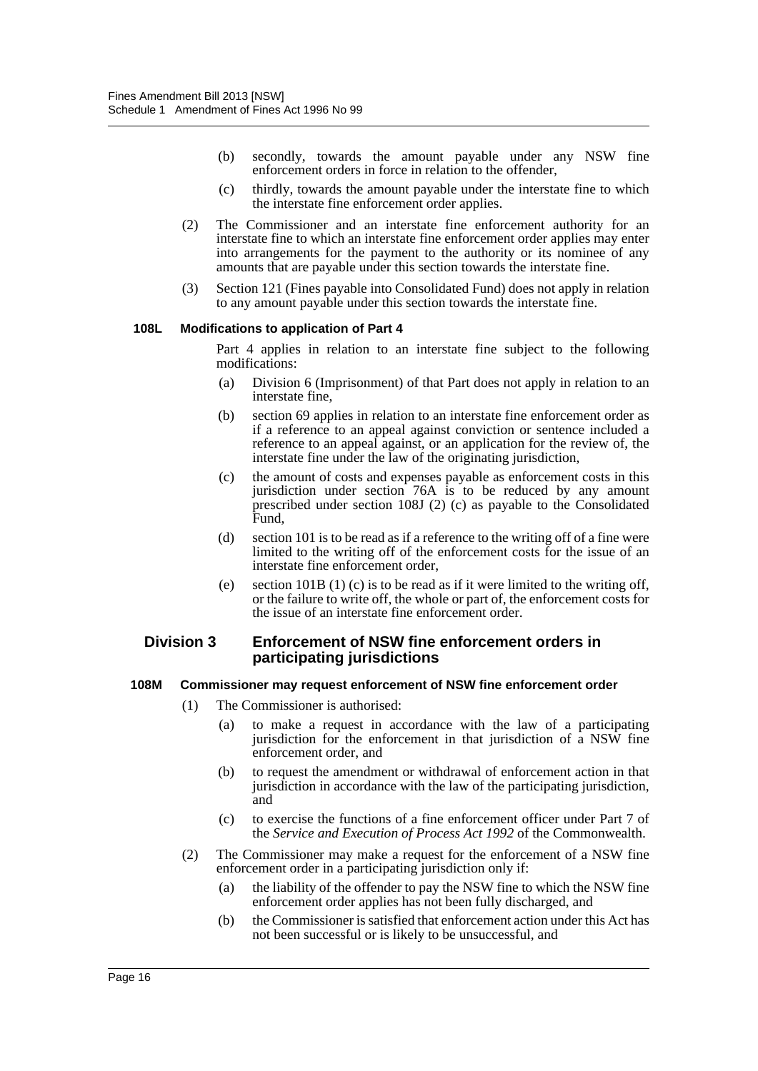- (b) secondly, towards the amount payable under any NSW fine enforcement orders in force in relation to the offender,
- (c) thirdly, towards the amount payable under the interstate fine to which the interstate fine enforcement order applies.
- (2) The Commissioner and an interstate fine enforcement authority for an interstate fine to which an interstate fine enforcement order applies may enter into arrangements for the payment to the authority or its nominee of any amounts that are payable under this section towards the interstate fine.
- (3) Section 121 (Fines payable into Consolidated Fund) does not apply in relation to any amount payable under this section towards the interstate fine.

### **108L Modifications to application of Part 4**

Part 4 applies in relation to an interstate fine subject to the following modifications:

- (a) Division 6 (Imprisonment) of that Part does not apply in relation to an interstate fine,
- (b) section 69 applies in relation to an interstate fine enforcement order as if a reference to an appeal against conviction or sentence included a reference to an appeal against, or an application for the review of, the interstate fine under the law of the originating jurisdiction,
- (c) the amount of costs and expenses payable as enforcement costs in this jurisdiction under section 76A is to be reduced by any amount prescribed under section 108J (2) (c) as payable to the Consolidated Fund,
- (d) section 101 is to be read as if a reference to the writing off of a fine were limited to the writing off of the enforcement costs for the issue of an interstate fine enforcement order,
- (e) section 101B (1) (c) is to be read as if it were limited to the writing off, or the failure to write off, the whole or part of, the enforcement costs for the issue of an interstate fine enforcement order.

### **Division 3 Enforcement of NSW fine enforcement orders in participating jurisdictions**

### **108M Commissioner may request enforcement of NSW fine enforcement order**

- (1) The Commissioner is authorised:
	- (a) to make a request in accordance with the law of a participating jurisdiction for the enforcement in that jurisdiction of a NSW fine enforcement order, and
	- (b) to request the amendment or withdrawal of enforcement action in that jurisdiction in accordance with the law of the participating jurisdiction, and
	- (c) to exercise the functions of a fine enforcement officer under Part 7 of the *Service and Execution of Process Act 1992* of the Commonwealth.
- (2) The Commissioner may make a request for the enforcement of a NSW fine enforcement order in a participating jurisdiction only if:
	- (a) the liability of the offender to pay the NSW fine to which the NSW fine enforcement order applies has not been fully discharged, and
	- (b) the Commissioner is satisfied that enforcement action under this Act has not been successful or is likely to be unsuccessful, and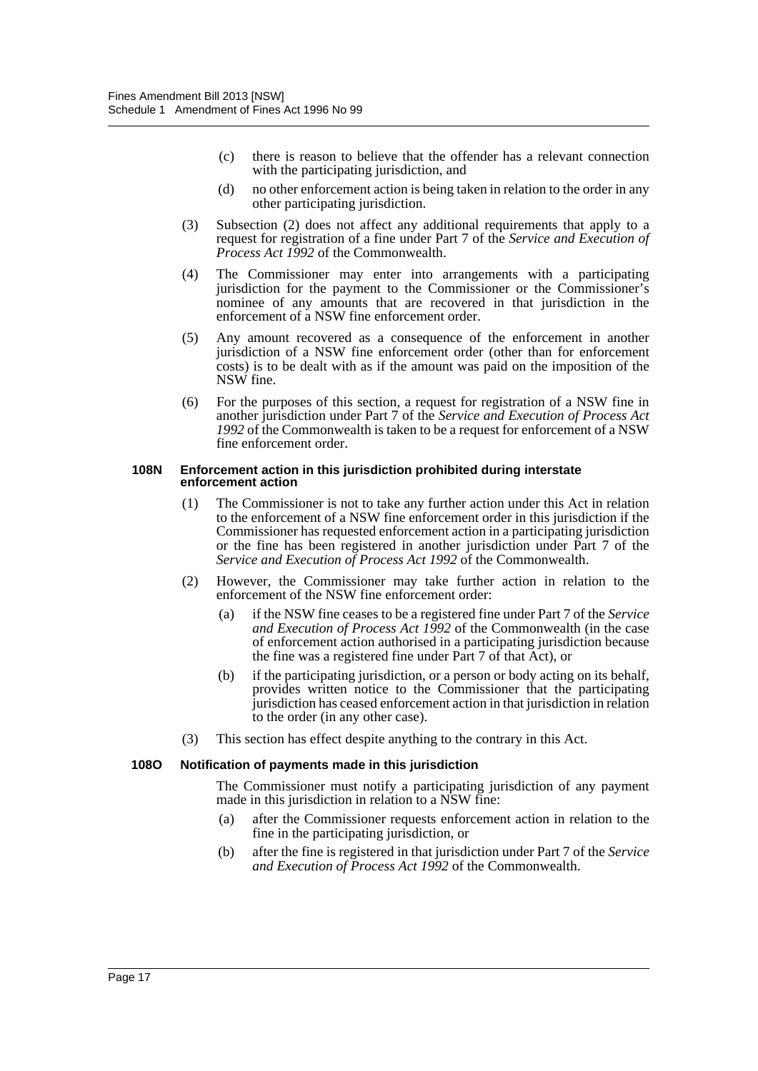- (c) there is reason to believe that the offender has a relevant connection with the participating jurisdiction, and
- (d) no other enforcement action is being taken in relation to the order in any other participating jurisdiction.
- (3) Subsection (2) does not affect any additional requirements that apply to a request for registration of a fine under Part 7 of the *Service and Execution of Process Act 1992* of the Commonwealth.
- (4) The Commissioner may enter into arrangements with a participating jurisdiction for the payment to the Commissioner or the Commissioner's nominee of any amounts that are recovered in that jurisdiction in the enforcement of a NSW fine enforcement order.
- (5) Any amount recovered as a consequence of the enforcement in another jurisdiction of a NSW fine enforcement order (other than for enforcement costs) is to be dealt with as if the amount was paid on the imposition of the NSW fine.
- (6) For the purposes of this section, a request for registration of a NSW fine in another jurisdiction under Part 7 of the *Service and Execution of Process Act 1992* of the Commonwealth is taken to be a request for enforcement of a NSW fine enforcement order.

#### **108N Enforcement action in this jurisdiction prohibited during interstate enforcement action**

- (1) The Commissioner is not to take any further action under this Act in relation to the enforcement of a NSW fine enforcement order in this jurisdiction if the Commissioner has requested enforcement action in a participating jurisdiction or the fine has been registered in another jurisdiction under Part 7 of the *Service and Execution of Process Act 1992* of the Commonwealth.
- (2) However, the Commissioner may take further action in relation to the enforcement of the NSW fine enforcement order:
	- (a) if the NSW fine ceases to be a registered fine under Part 7 of the *Service and Execution of Process Act 1992* of the Commonwealth (in the case of enforcement action authorised in a participating jurisdiction because the fine was a registered fine under Part 7 of that Act), or
	- (b) if the participating jurisdiction, or a person or body acting on its behalf, provides written notice to the Commissioner that the participating jurisdiction has ceased enforcement action in that jurisdiction in relation to the order (in any other case).
- (3) This section has effect despite anything to the contrary in this Act.

### **108O Notification of payments made in this jurisdiction**

The Commissioner must notify a participating jurisdiction of any payment made in this jurisdiction in relation to a NSW fine:

- (a) after the Commissioner requests enforcement action in relation to the fine in the participating jurisdiction, or
- (b) after the fine is registered in that jurisdiction under Part 7 of the *Service and Execution of Process Act 1992* of the Commonwealth.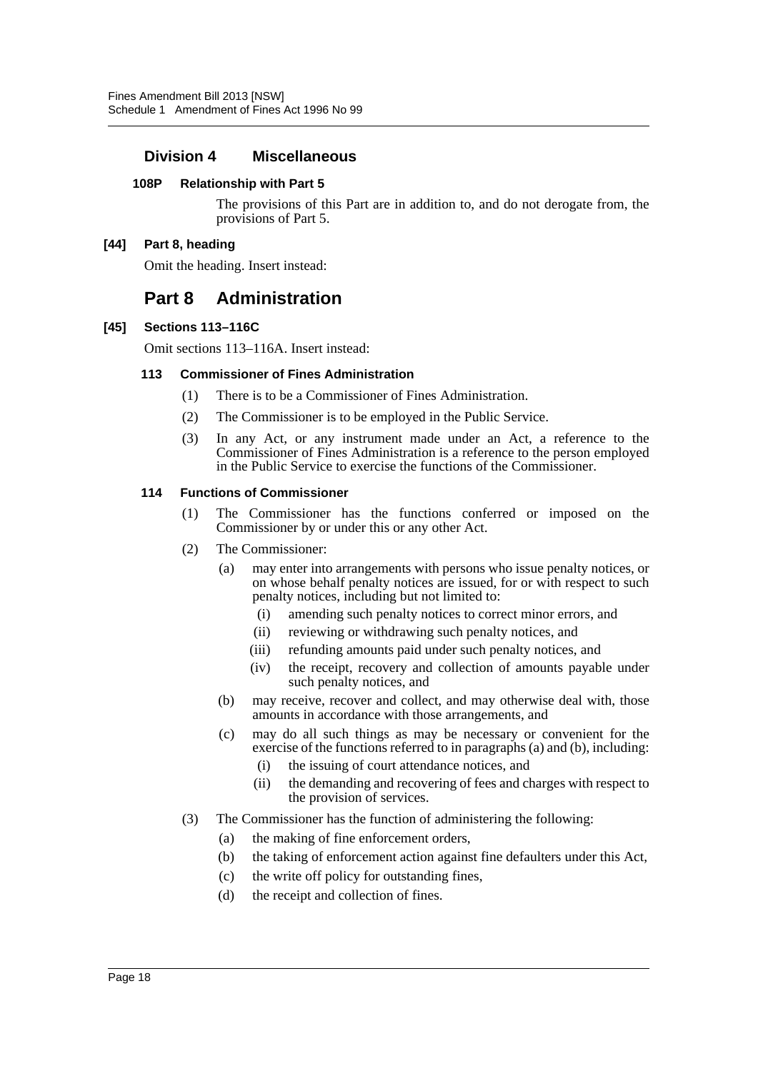## **Division 4 Miscellaneous**

### **108P Relationship with Part 5**

The provisions of this Part are in addition to, and do not derogate from, the provisions of Part 5.

### **[44] Part 8, heading**

Omit the heading. Insert instead:

# **Part 8 Administration**

### **[45] Sections 113–116C**

Omit sections 113–116A. Insert instead:

### **113 Commissioner of Fines Administration**

- (1) There is to be a Commissioner of Fines Administration.
- (2) The Commissioner is to be employed in the Public Service.
- (3) In any Act, or any instrument made under an Act, a reference to the Commissioner of Fines Administration is a reference to the person employed in the Public Service to exercise the functions of the Commissioner.

### **114 Functions of Commissioner**

- (1) The Commissioner has the functions conferred or imposed on the Commissioner by or under this or any other Act.
- (2) The Commissioner:
	- (a) may enter into arrangements with persons who issue penalty notices, or on whose behalf penalty notices are issued, for or with respect to such penalty notices, including but not limited to:
		- (i) amending such penalty notices to correct minor errors, and
		- (ii) reviewing or withdrawing such penalty notices, and
		- (iii) refunding amounts paid under such penalty notices, and
		- (iv) the receipt, recovery and collection of amounts payable under such penalty notices, and
	- (b) may receive, recover and collect, and may otherwise deal with, those amounts in accordance with those arrangements, and
	- (c) may do all such things as may be necessary or convenient for the exercise of the functions referred to in paragraphs (a) and (b), including:
		- (i) the issuing of court attendance notices, and
		- (ii) the demanding and recovering of fees and charges with respect to the provision of services.
- (3) The Commissioner has the function of administering the following:
	- (a) the making of fine enforcement orders,
	- (b) the taking of enforcement action against fine defaulters under this Act,
	- (c) the write off policy for outstanding fines,
	- (d) the receipt and collection of fines.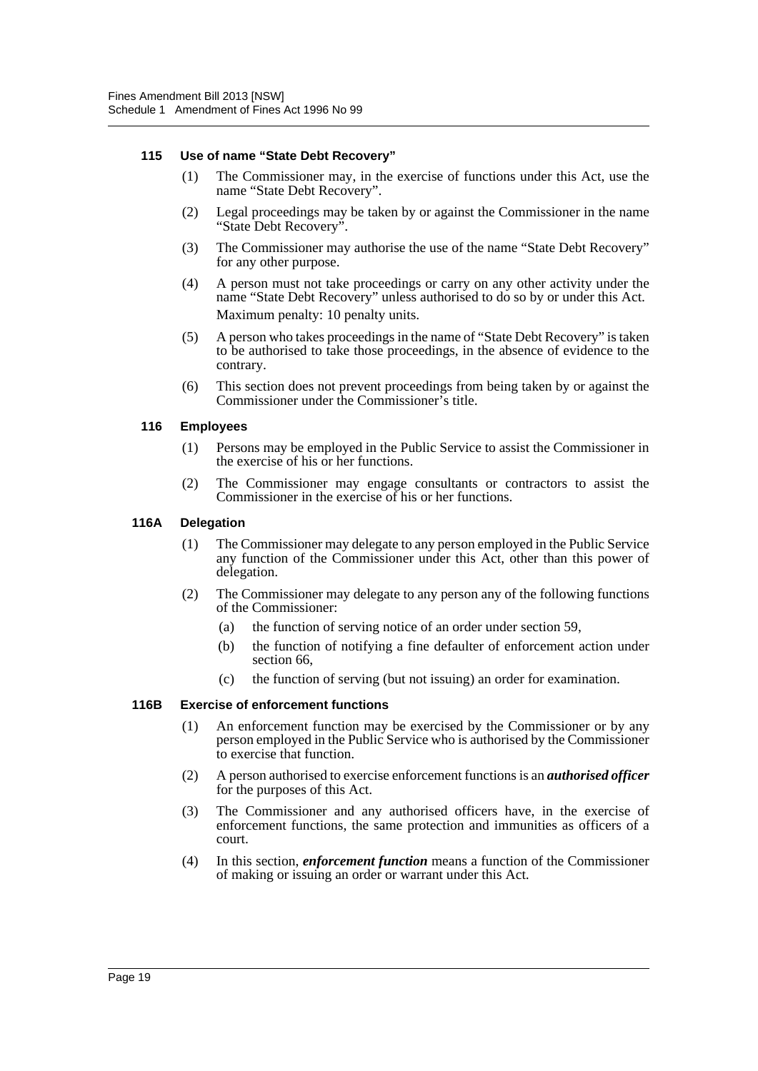### **115 Use of name "State Debt Recovery"**

- (1) The Commissioner may, in the exercise of functions under this Act, use the name "State Debt Recovery".
- (2) Legal proceedings may be taken by or against the Commissioner in the name "State Debt Recovery".
- (3) The Commissioner may authorise the use of the name "State Debt Recovery" for any other purpose.
- (4) A person must not take proceedings or carry on any other activity under the name "State Debt Recovery" unless authorised to do so by or under this Act. Maximum penalty: 10 penalty units.
- (5) A person who takes proceedings in the name of "State Debt Recovery" is taken to be authorised to take those proceedings, in the absence of evidence to the contrary.
- (6) This section does not prevent proceedings from being taken by or against the Commissioner under the Commissioner's title.

### **116 Employees**

- (1) Persons may be employed in the Public Service to assist the Commissioner in the exercise of his or her functions.
- (2) The Commissioner may engage consultants or contractors to assist the Commissioner in the exercise of his or her functions.

### **116A Delegation**

- (1) The Commissioner may delegate to any person employed in the Public Service any function of the Commissioner under this Act, other than this power of delegation.
- (2) The Commissioner may delegate to any person any of the following functions of the Commissioner:
	- (a) the function of serving notice of an order under section 59,
	- (b) the function of notifying a fine defaulter of enforcement action under section 66,
	- (c) the function of serving (but not issuing) an order for examination.

### **116B Exercise of enforcement functions**

- (1) An enforcement function may be exercised by the Commissioner or by any person employed in the Public Service who is authorised by the Commissioner to exercise that function.
- (2) A person authorised to exercise enforcement functions is an *authorised officer* for the purposes of this Act.
- (3) The Commissioner and any authorised officers have, in the exercise of enforcement functions, the same protection and immunities as officers of a court.
- (4) In this section, *enforcement function* means a function of the Commissioner of making or issuing an order or warrant under this Act.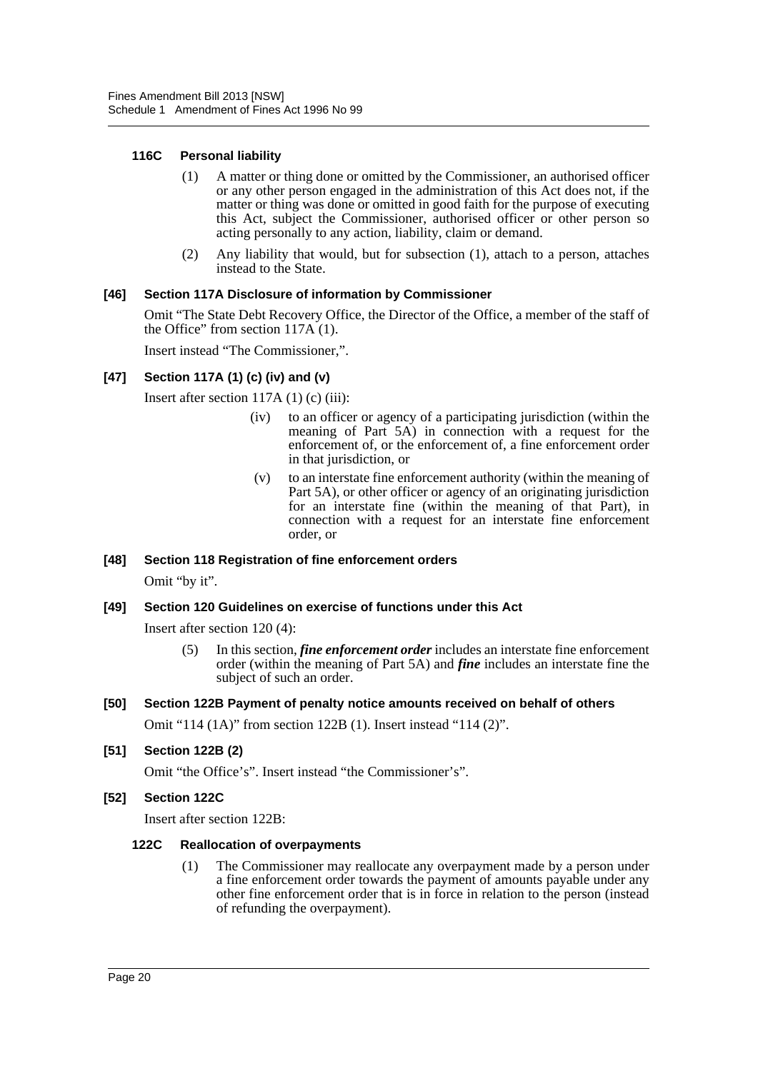### **116C Personal liability**

- (1) A matter or thing done or omitted by the Commissioner, an authorised officer or any other person engaged in the administration of this Act does not, if the matter or thing was done or omitted in good faith for the purpose of executing this Act, subject the Commissioner, authorised officer or other person so acting personally to any action, liability, claim or demand.
- (2) Any liability that would, but for subsection (1), attach to a person, attaches instead to the State.

### **[46] Section 117A Disclosure of information by Commissioner**

Omit "The State Debt Recovery Office, the Director of the Office, a member of the staff of the Office" from section 117A (1).

Insert instead "The Commissioner,".

### **[47] Section 117A (1) (c) (iv) and (v)**

Insert after section 117A (1) (c) (iii):

- (iv) to an officer or agency of a participating jurisdiction (within the meaning of Part 5A) in connection with a request for the enforcement of, or the enforcement of, a fine enforcement order in that jurisdiction, or
- (v) to an interstate fine enforcement authority (within the meaning of Part 5A), or other officer or agency of an originating jurisdiction for an interstate fine (within the meaning of that Part), in connection with a request for an interstate fine enforcement order, or

# **[48] Section 118 Registration of fine enforcement orders**

Omit "by it".

### **[49] Section 120 Guidelines on exercise of functions under this Act**

Insert after section 120 (4):

(5) In this section, *fine enforcement order* includes an interstate fine enforcement order (within the meaning of Part 5A) and *fine* includes an interstate fine the subject of such an order.

# **[50] Section 122B Payment of penalty notice amounts received on behalf of others**

Omit "114 (1A)" from section 122B (1). Insert instead "114 (2)".

### **[51] Section 122B (2)**

Omit "the Office's". Insert instead "the Commissioner's".

### **[52] Section 122C**

Insert after section 122B:

### **122C Reallocation of overpayments**

(1) The Commissioner may reallocate any overpayment made by a person under a fine enforcement order towards the payment of amounts payable under any other fine enforcement order that is in force in relation to the person (instead of refunding the overpayment).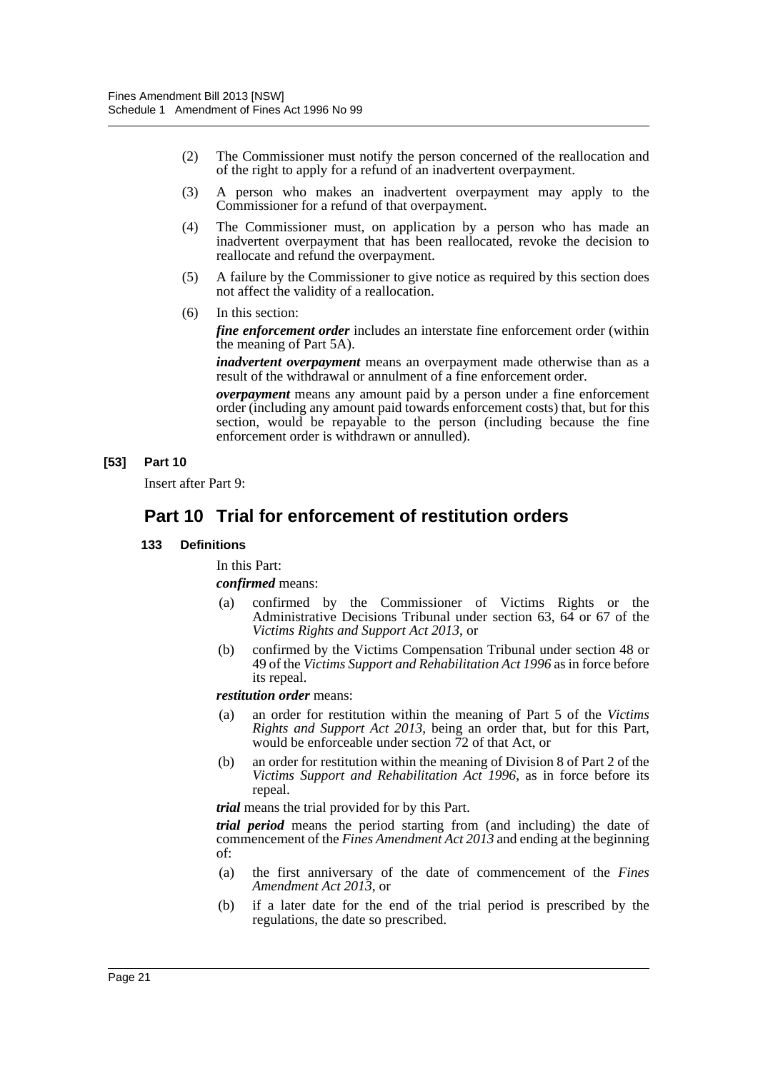- (2) The Commissioner must notify the person concerned of the reallocation and of the right to apply for a refund of an inadvertent overpayment.
- (3) A person who makes an inadvertent overpayment may apply to the Commissioner for a refund of that overpayment.
- (4) The Commissioner must, on application by a person who has made an inadvertent overpayment that has been reallocated, revoke the decision to reallocate and refund the overpayment.
- (5) A failure by the Commissioner to give notice as required by this section does not affect the validity of a reallocation.
- (6) In this section:

*fine enforcement order* includes an interstate fine enforcement order (within the meaning of Part 5A).

*inadvertent overpayment* means an overpayment made otherwise than as a result of the withdrawal or annulment of a fine enforcement order.

*overpayment* means any amount paid by a person under a fine enforcement order (including any amount paid towards enforcement costs) that, but for this section, would be repayable to the person (including because the fine enforcement order is withdrawn or annulled).

### **[53] Part 10**

Insert after Part 9:

# **Part 10 Trial for enforcement of restitution orders**

### **133 Definitions**

In this Part:

*confirmed* means:

- (a) confirmed by the Commissioner of Victims Rights or the Administrative Decisions Tribunal under section 63, 64 or 67 of the *Victims Rights and Support Act 2013*, or
- (b) confirmed by the Victims Compensation Tribunal under section 48 or 49 of the *Victims Support and Rehabilitation Act 1996* as in force before its repeal.

### *restitution order* means:

- (a) an order for restitution within the meaning of Part 5 of the *Victims Rights and Support Act 2013*, being an order that, but for this Part, would be enforceable under section  $\tilde{7}2$  of that Act, or
- (b) an order for restitution within the meaning of Division 8 of Part 2 of the *Victims Support and Rehabilitation Act 1996*, as in force before its repeal.

*trial* means the trial provided for by this Part.

*trial period* means the period starting from (and including) the date of commencement of the *Fines Amendment Act 2013* and ending at the beginning of:

- (a) the first anniversary of the date of commencement of the *Fines Amendment Act 2013*, or
- (b) if a later date for the end of the trial period is prescribed by the regulations, the date so prescribed.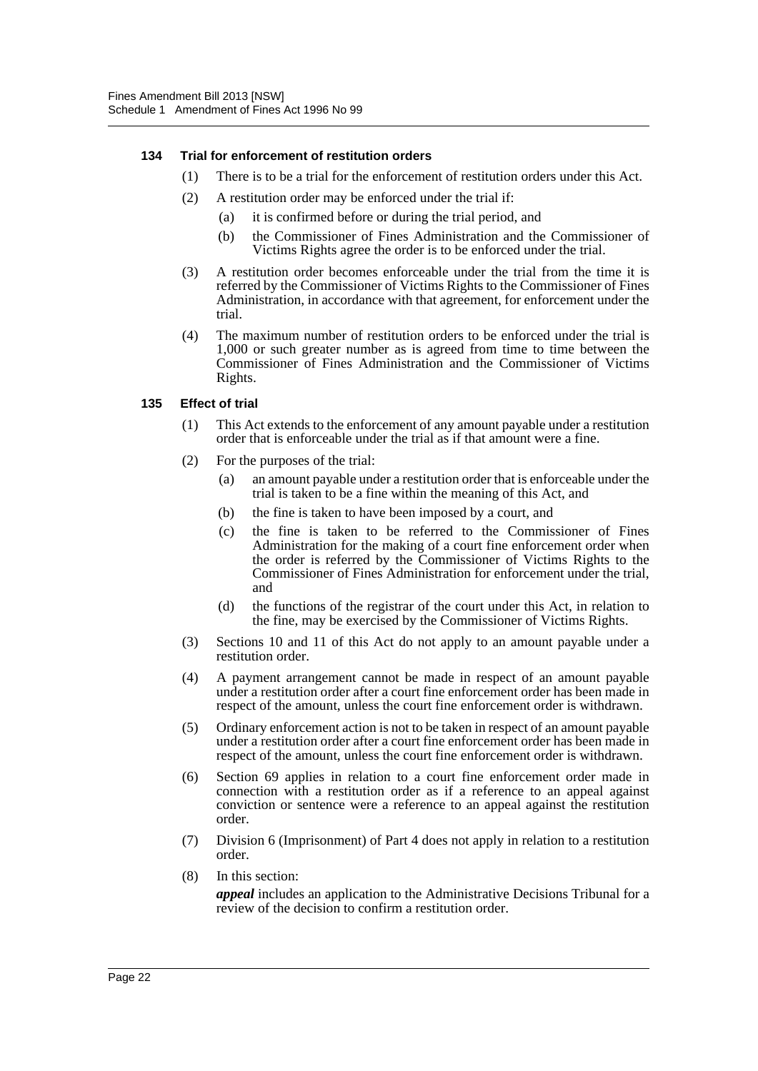### **134 Trial for enforcement of restitution orders**

- (1) There is to be a trial for the enforcement of restitution orders under this Act.
- (2) A restitution order may be enforced under the trial if:
	- (a) it is confirmed before or during the trial period, and
	- (b) the Commissioner of Fines Administration and the Commissioner of Victims Rights agree the order is to be enforced under the trial.
- (3) A restitution order becomes enforceable under the trial from the time it is referred by the Commissioner of Victims Rights to the Commissioner of Fines Administration, in accordance with that agreement, for enforcement under the trial.
- (4) The maximum number of restitution orders to be enforced under the trial is 1,000 or such greater number as is agreed from time to time between the Commissioner of Fines Administration and the Commissioner of Victims Rights.

### **135 Effect of trial**

- (1) This Act extends to the enforcement of any amount payable under a restitution order that is enforceable under the trial as if that amount were a fine.
- (2) For the purposes of the trial:
	- (a) an amount payable under a restitution order that is enforceable under the trial is taken to be a fine within the meaning of this Act, and
	- (b) the fine is taken to have been imposed by a court, and
	- (c) the fine is taken to be referred to the Commissioner of Fines Administration for the making of a court fine enforcement order when the order is referred by the Commissioner of Victims Rights to the Commissioner of Fines Administration for enforcement under the trial, and
	- (d) the functions of the registrar of the court under this Act, in relation to the fine, may be exercised by the Commissioner of Victims Rights.
- (3) Sections 10 and 11 of this Act do not apply to an amount payable under a restitution order.
- (4) A payment arrangement cannot be made in respect of an amount payable under a restitution order after a court fine enforcement order has been made in respect of the amount, unless the court fine enforcement order is withdrawn.
- (5) Ordinary enforcement action is not to be taken in respect of an amount payable under a restitution order after a court fine enforcement order has been made in respect of the amount, unless the court fine enforcement order is withdrawn.
- (6) Section 69 applies in relation to a court fine enforcement order made in connection with a restitution order as if a reference to an appeal against conviction or sentence were a reference to an appeal against the restitution order.
- (7) Division 6 (Imprisonment) of Part 4 does not apply in relation to a restitution order.
- (8) In this section:

*appeal* includes an application to the Administrative Decisions Tribunal for a review of the decision to confirm a restitution order.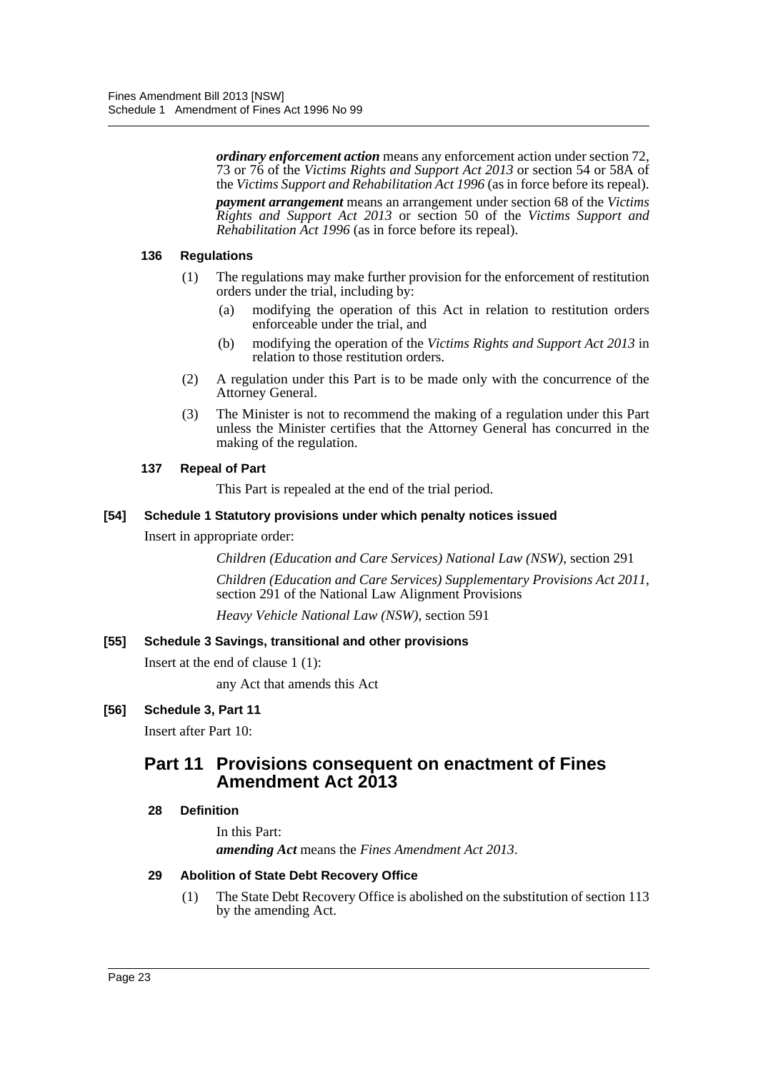*ordinary enforcement action* means any enforcement action under section 72, 73 or 76 of the *Victims Rights and Support Act 2013* or section 54 or 58A of the *Victims Support and Rehabilitation Act 1996* (as in force before its repeal).

*payment arrangement* means an arrangement under section 68 of the *Victims Rights and Support Act 2013* or section 50 of the *Victims Support and Rehabilitation Act 1996* (as in force before its repeal).

### **136 Regulations**

- (1) The regulations may make further provision for the enforcement of restitution orders under the trial, including by:
	- (a) modifying the operation of this Act in relation to restitution orders enforceable under the trial, and
	- (b) modifying the operation of the *Victims Rights and Support Act 2013* in relation to those restitution orders.
- (2) A regulation under this Part is to be made only with the concurrence of the Attorney General.
- (3) The Minister is not to recommend the making of a regulation under this Part unless the Minister certifies that the Attorney General has concurred in the making of the regulation.

### **137 Repeal of Part**

This Part is repealed at the end of the trial period.

### **[54] Schedule 1 Statutory provisions under which penalty notices issued**

Insert in appropriate order:

*Children (Education and Care Services) National Law (NSW)*, section 291

*Children (Education and Care Services) Supplementary Provisions Act 2011*, section 291 of the National Law Alignment Provisions

*Heavy Vehicle National Law (NSW)*, section 591

### **[55] Schedule 3 Savings, transitional and other provisions**

Insert at the end of clause 1 (1):

any Act that amends this Act

## **[56] Schedule 3, Part 11**

Insert after Part 10:

# **Part 11 Provisions consequent on enactment of Fines Amendment Act 2013**

## **28 Definition**

In this Part: *amending Act* means the *Fines Amendment Act 2013*.

### **29 Abolition of State Debt Recovery Office**

(1) The State Debt Recovery Office is abolished on the substitution of section 113 by the amending Act.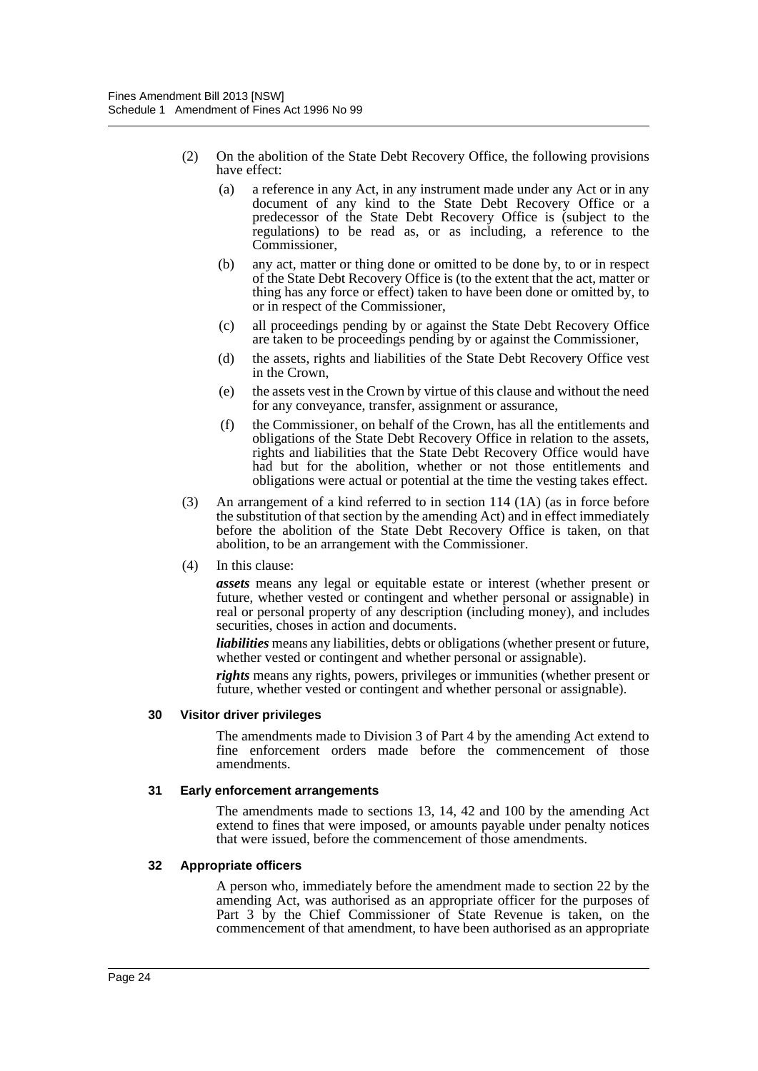- (2) On the abolition of the State Debt Recovery Office, the following provisions have effect:
	- (a) a reference in any Act, in any instrument made under any Act or in any document of any kind to the State Debt Recovery Office or a predecessor of the State Debt Recovery Office is (subject to the regulations) to be read as, or as including, a reference to the Commissioner,
	- (b) any act, matter or thing done or omitted to be done by, to or in respect of the State Debt Recovery Office is (to the extent that the act, matter or thing has any force or effect) taken to have been done or omitted by, to or in respect of the Commissioner,
	- (c) all proceedings pending by or against the State Debt Recovery Office are taken to be proceedings pending by or against the Commissioner,
	- (d) the assets, rights and liabilities of the State Debt Recovery Office vest in the Crown,
	- (e) the assets vest in the Crown by virtue of this clause and without the need for any conveyance, transfer, assignment or assurance,
	- (f) the Commissioner, on behalf of the Crown, has all the entitlements and obligations of the State Debt Recovery Office in relation to the assets, rights and liabilities that the State Debt Recovery Office would have had but for the abolition, whether or not those entitlements and obligations were actual or potential at the time the vesting takes effect.
- (3) An arrangement of a kind referred to in section 114 (1A) (as in force before the substitution of that section by the amending Act) and in effect immediately before the abolition of the State Debt Recovery Office is taken, on that abolition, to be an arrangement with the Commissioner.
- (4) In this clause:

*assets* means any legal or equitable estate or interest (whether present or future, whether vested or contingent and whether personal or assignable) in real or personal property of any description (including money), and includes securities, choses in action and documents.

*liabilities* means any liabilities, debts or obligations (whether present or future, whether vested or contingent and whether personal or assignable).

*rights* means any rights, powers, privileges or immunities (whether present or future, whether vested or contingent and whether personal or assignable).

### **30 Visitor driver privileges**

The amendments made to Division 3 of Part 4 by the amending Act extend to fine enforcement orders made before the commencement of those amendments.

### **31 Early enforcement arrangements**

The amendments made to sections 13, 14, 42 and 100 by the amending Act extend to fines that were imposed, or amounts payable under penalty notices that were issued, before the commencement of those amendments.

### **32 Appropriate officers**

A person who, immediately before the amendment made to section 22 by the amending Act, was authorised as an appropriate officer for the purposes of Part 3 by the Chief Commissioner of State Revenue is taken, on the commencement of that amendment, to have been authorised as an appropriate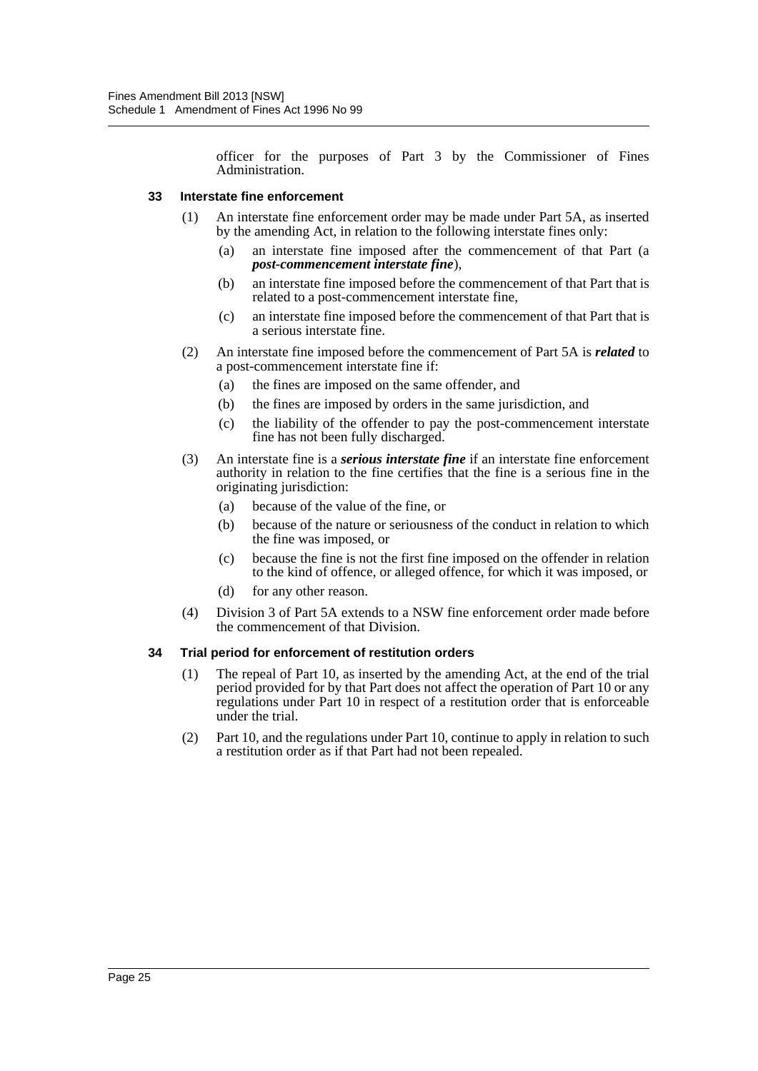officer for the purposes of Part 3 by the Commissioner of Fines Administration.

### **33 Interstate fine enforcement**

- (1) An interstate fine enforcement order may be made under Part 5A, as inserted by the amending Act, in relation to the following interstate fines only:
	- (a) an interstate fine imposed after the commencement of that Part (a *post-commencement interstate fine*),
	- (b) an interstate fine imposed before the commencement of that Part that is related to a post-commencement interstate fine,
	- (c) an interstate fine imposed before the commencement of that Part that is a serious interstate fine.
- (2) An interstate fine imposed before the commencement of Part 5A is *related* to a post-commencement interstate fine if:
	- (a) the fines are imposed on the same offender, and
	- (b) the fines are imposed by orders in the same jurisdiction, and
	- (c) the liability of the offender to pay the post-commencement interstate fine has not been fully discharged.
- (3) An interstate fine is a *serious interstate fine* if an interstate fine enforcement authority in relation to the fine certifies that the fine is a serious fine in the originating jurisdiction:
	- (a) because of the value of the fine, or
	- (b) because of the nature or seriousness of the conduct in relation to which the fine was imposed, or
	- (c) because the fine is not the first fine imposed on the offender in relation to the kind of offence, or alleged offence, for which it was imposed, or
	- (d) for any other reason.
- (4) Division 3 of Part 5A extends to a NSW fine enforcement order made before the commencement of that Division.

### **34 Trial period for enforcement of restitution orders**

- (1) The repeal of Part 10, as inserted by the amending Act, at the end of the trial period provided for by that Part does not affect the operation of Part 10 or any regulations under Part 10 in respect of a restitution order that is enforceable under the trial.
- (2) Part 10, and the regulations under Part 10, continue to apply in relation to such a restitution order as if that Part had not been repealed.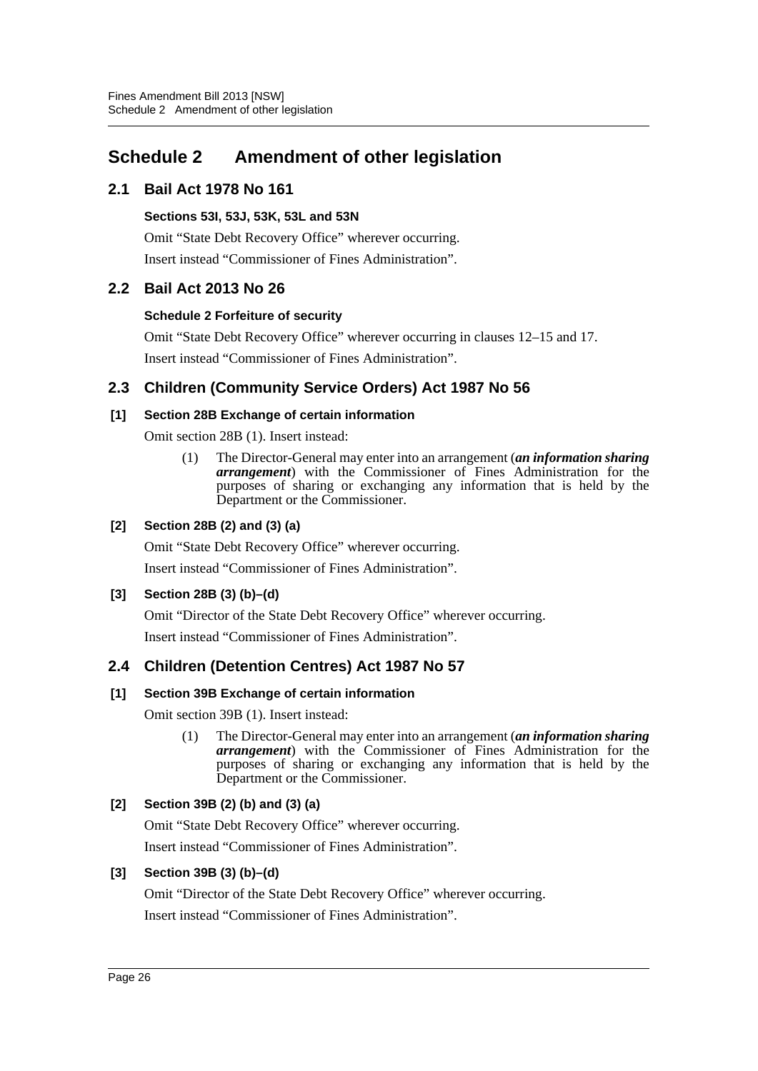# <span id="page-26-0"></span>**Schedule 2 Amendment of other legislation**

## **2.1 Bail Act 1978 No 161**

## **Sections 53I, 53J, 53K, 53L and 53N**

Omit "State Debt Recovery Office" wherever occurring. Insert instead "Commissioner of Fines Administration".

# **2.2 Bail Act 2013 No 26**

## **Schedule 2 Forfeiture of security**

Omit "State Debt Recovery Office" wherever occurring in clauses 12–15 and 17. Insert instead "Commissioner of Fines Administration".

# **2.3 Children (Community Service Orders) Act 1987 No 56**

## **[1] Section 28B Exchange of certain information**

Omit section 28B (1). Insert instead:

(1) The Director-General may enter into an arrangement (*an information sharing arrangement*) with the Commissioner of Fines Administration for the purposes of sharing or exchanging any information that is held by the Department or the Commissioner.

## **[2] Section 28B (2) and (3) (a)**

Omit "State Debt Recovery Office" wherever occurring.

Insert instead "Commissioner of Fines Administration".

## **[3] Section 28B (3) (b)–(d)**

Omit "Director of the State Debt Recovery Office" wherever occurring.

Insert instead "Commissioner of Fines Administration".

## **2.4 Children (Detention Centres) Act 1987 No 57**

## **[1] Section 39B Exchange of certain information**

Omit section 39B (1). Insert instead:

(1) The Director-General may enter into an arrangement (*an information sharing arrangement*) with the Commissioner of Fines Administration for the purposes of sharing or exchanging any information that is held by the Department or the Commissioner.

## **[2] Section 39B (2) (b) and (3) (a)**

Omit "State Debt Recovery Office" wherever occurring.

Insert instead "Commissioner of Fines Administration".

## **[3] Section 39B (3) (b)–(d)**

Omit "Director of the State Debt Recovery Office" wherever occurring.

Insert instead "Commissioner of Fines Administration".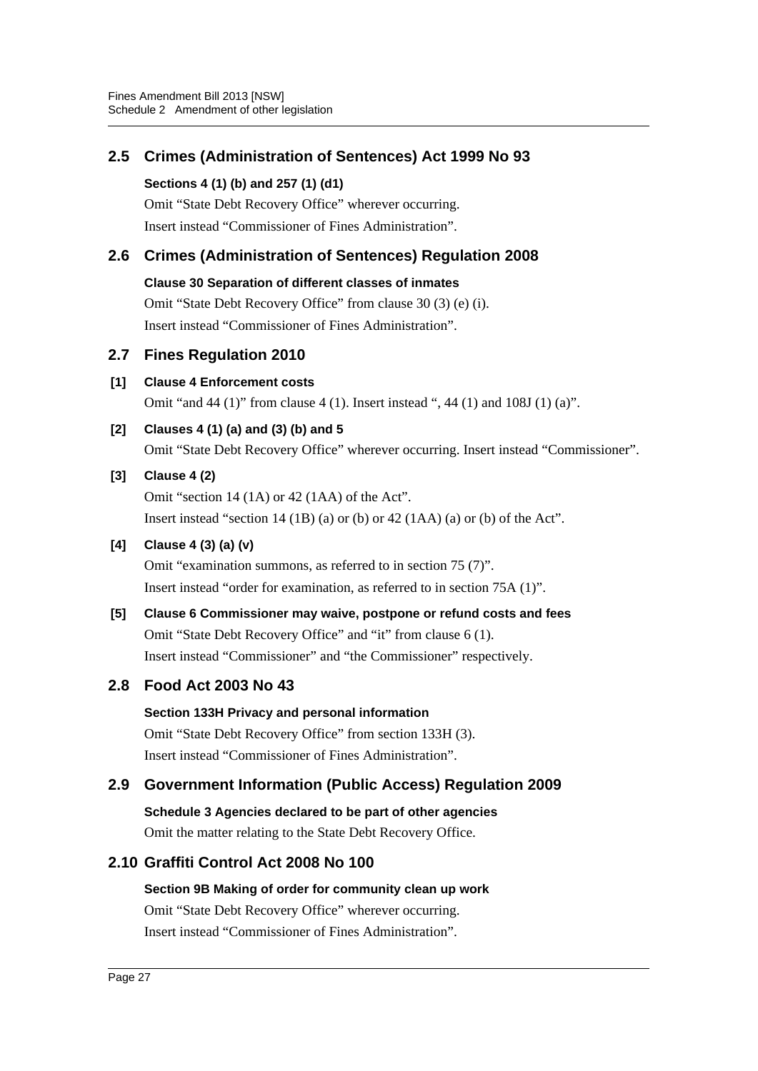# **2.5 Crimes (Administration of Sentences) Act 1999 No 93**

## **Sections 4 (1) (b) and 257 (1) (d1)**

Omit "State Debt Recovery Office" wherever occurring. Insert instead "Commissioner of Fines Administration".

# **2.6 Crimes (Administration of Sentences) Regulation 2008**

## **Clause 30 Separation of different classes of inmates**

Omit "State Debt Recovery Office" from clause 30 (3) (e) (i). Insert instead "Commissioner of Fines Administration".

## **2.7 Fines Regulation 2010**

**[1] Clause 4 Enforcement costs** Omit "and 44 (1)" from clause 4 (1). Insert instead ", 44 (1) and 108J (1) (a)".

## **[2] Clauses 4 (1) (a) and (3) (b) and 5**

Omit "State Debt Recovery Office" wherever occurring. Insert instead "Commissioner".

## **[3] Clause 4 (2)**

Omit "section 14 (1A) or 42 (1AA) of the Act". Insert instead "section 14 (1B) (a) or (b) or 42 (1AA) (a) or (b) of the Act".

## **[4] Clause 4 (3) (a) (v)**

Omit "examination summons, as referred to in section 75 (7)". Insert instead "order for examination, as referred to in section 75A (1)".

# **[5] Clause 6 Commissioner may waive, postpone or refund costs and fees** Omit "State Debt Recovery Office" and "it" from clause 6 (1). Insert instead "Commissioner" and "the Commissioner" respectively.

# **2.8 Food Act 2003 No 43**

## **Section 133H Privacy and personal information** Omit "State Debt Recovery Office" from section 133H (3).

Insert instead "Commissioner of Fines Administration".

# **2.9 Government Information (Public Access) Regulation 2009**

**Schedule 3 Agencies declared to be part of other agencies** Omit the matter relating to the State Debt Recovery Office.

# **2.10 Graffiti Control Act 2008 No 100**

# **Section 9B Making of order for community clean up work**

Omit "State Debt Recovery Office" wherever occurring. Insert instead "Commissioner of Fines Administration".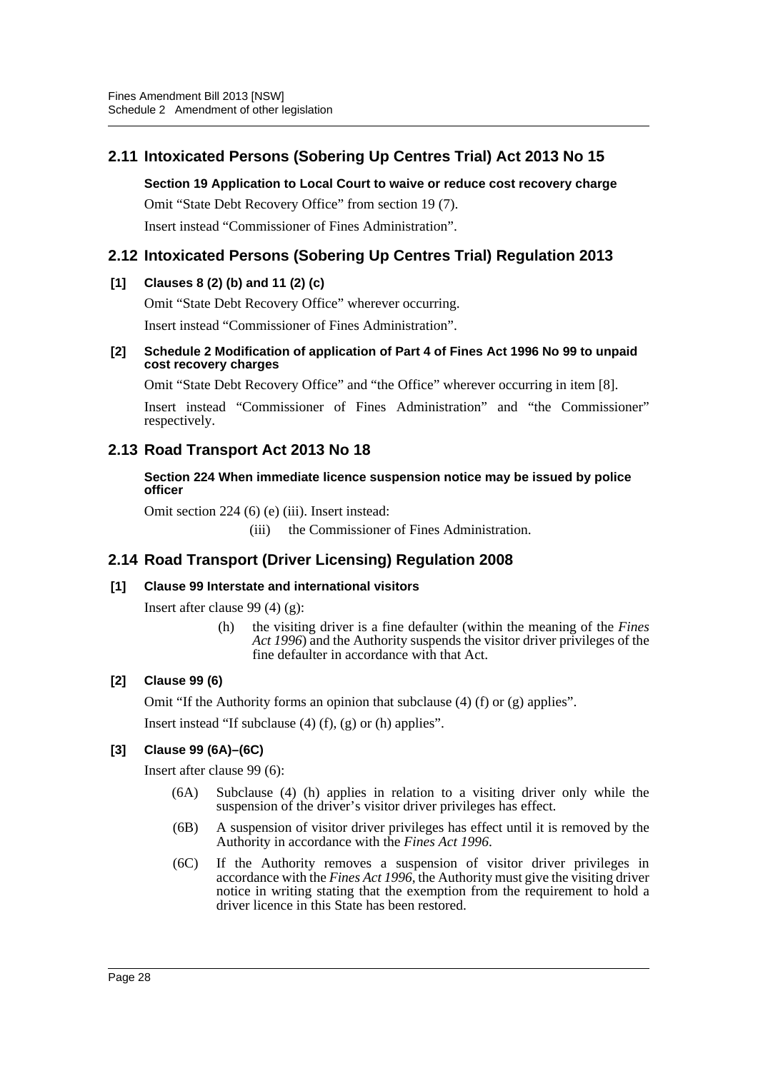# **2.11 Intoxicated Persons (Sobering Up Centres Trial) Act 2013 No 15**

**Section 19 Application to Local Court to waive or reduce cost recovery charge** Omit "State Debt Recovery Office" from section 19 (7). Insert instead "Commissioner of Fines Administration".

# **2.12 Intoxicated Persons (Sobering Up Centres Trial) Regulation 2013**

## **[1] Clauses 8 (2) (b) and 11 (2) (c)**

Omit "State Debt Recovery Office" wherever occurring.

Insert instead "Commissioner of Fines Administration".

### **[2] Schedule 2 Modification of application of Part 4 of Fines Act 1996 No 99 to unpaid cost recovery charges**

Omit "State Debt Recovery Office" and "the Office" wherever occurring in item [8].

Insert instead "Commissioner of Fines Administration" and "the Commissioner" respectively.

## **2.13 Road Transport Act 2013 No 18**

### **Section 224 When immediate licence suspension notice may be issued by police officer**

Omit section 224 (6) (e) (iii). Insert instead:

(iii) the Commissioner of Fines Administration.

# **2.14 Road Transport (Driver Licensing) Regulation 2008**

## **[1] Clause 99 Interstate and international visitors**

Insert after clause 99 (4) (g):

(h) the visiting driver is a fine defaulter (within the meaning of the *Fines Act 1996*) and the Authority suspends the visitor driver privileges of the fine defaulter in accordance with that Act.

## **[2] Clause 99 (6)**

Omit "If the Authority forms an opinion that subclause (4) (f) or (g) applies".

Insert instead "If subclause (4) (f), (g) or (h) applies".

## **[3] Clause 99 (6A)–(6C)**

Insert after clause 99 (6):

- (6A) Subclause (4) (h) applies in relation to a visiting driver only while the suspension of the driver's visitor driver privileges has effect.
- (6B) A suspension of visitor driver privileges has effect until it is removed by the Authority in accordance with the *Fines Act 1996*.
- (6C) If the Authority removes a suspension of visitor driver privileges in accordance with the *Fines Act 1996*, the Authority must give the visiting driver notice in writing stating that the exemption from the requirement to hold a driver licence in this State has been restored.